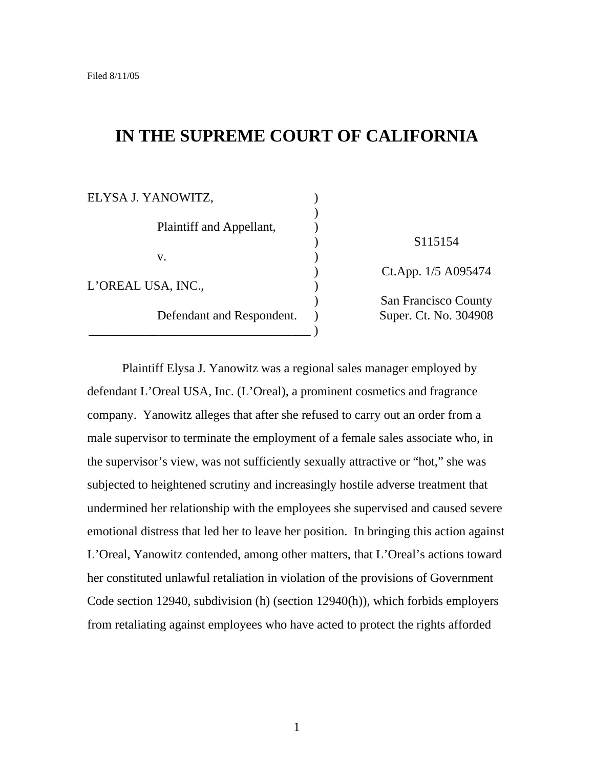# **IN THE SUPREME COURT OF CALIFORNIA**

| ELYSA J. YANOWITZ,        |                       |
|---------------------------|-----------------------|
| Plaintiff and Appellant,  |                       |
|                           |                       |
|                           | S <sub>115154</sub>   |
| V.                        |                       |
|                           | Ct.App. 1/5 A095474   |
| L'OREAL USA, INC.,        |                       |
| Defendant and Respondent. | San Francisco County  |
|                           | Super. Ct. No. 304908 |
|                           |                       |

Plaintiff Elysa J. Yanowitz was a regional sales manager employed by defendant L'Oreal USA, Inc. (L'Oreal), a prominent cosmetics and fragrance company. Yanowitz alleges that after she refused to carry out an order from a male supervisor to terminate the employment of a female sales associate who, in the supervisor's view, was not sufficiently sexually attractive or "hot," she was subjected to heightened scrutiny and increasingly hostile adverse treatment that undermined her relationship with the employees she supervised and caused severe emotional distress that led her to leave her position. In bringing this action against L'Oreal, Yanowitz contended, among other matters, that L'Oreal's actions toward her constituted unlawful retaliation in violation of the provisions of Government Code section 12940, subdivision (h) (section 12940(h)), which forbids employers from retaliating against employees who have acted to protect the rights afforded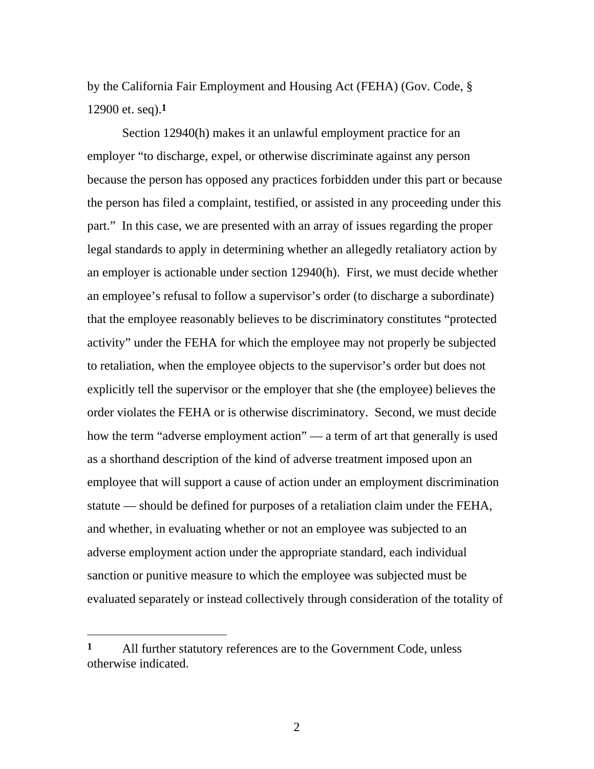by the California Fair Employment and Housing Act (FEHA) (Gov. Code, § 12900 et. seq).**1**

Section 12940(h) makes it an unlawful employment practice for an employer "to discharge, expel, or otherwise discriminate against any person because the person has opposed any practices forbidden under this part or because the person has filed a complaint, testified, or assisted in any proceeding under this part." In this case, we are presented with an array of issues regarding the proper legal standards to apply in determining whether an allegedly retaliatory action by an employer is actionable under section 12940(h). First, we must decide whether an employee's refusal to follow a supervisor's order (to discharge a subordinate) that the employee reasonably believes to be discriminatory constitutes "protected activity" under the FEHA for which the employee may not properly be subjected to retaliation, when the employee objects to the supervisor's order but does not explicitly tell the supervisor or the employer that she (the employee) believes the order violates the FEHA or is otherwise discriminatory. Second, we must decide how the term "adverse employment action" — a term of art that generally is used as a shorthand description of the kind of adverse treatment imposed upon an employee that will support a cause of action under an employment discrimination statute — should be defined for purposes of a retaliation claim under the FEHA, and whether, in evaluating whether or not an employee was subjected to an adverse employment action under the appropriate standard, each individual sanction or punitive measure to which the employee was subjected must be evaluated separately or instead collectively through consideration of the totality of

**<sup>1</sup>** All further statutory references are to the Government Code, unless otherwise indicated.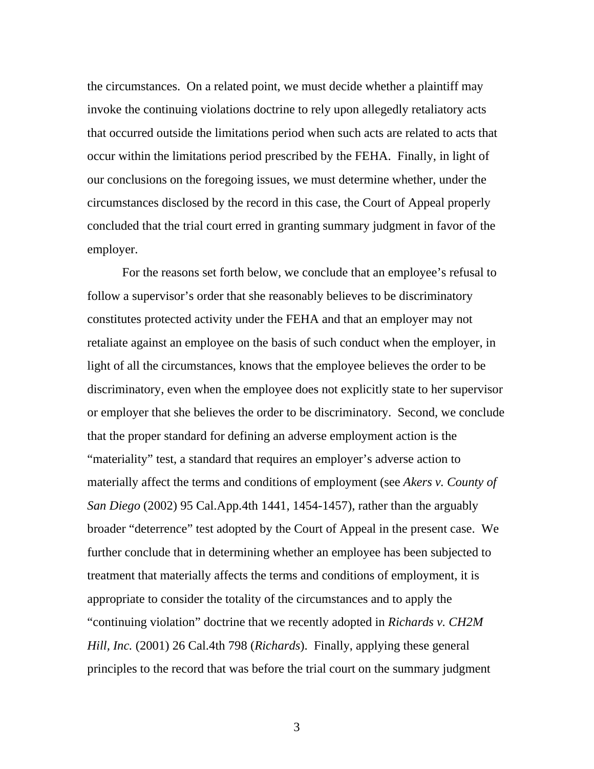the circumstances. On a related point, we must decide whether a plaintiff may invoke the continuing violations doctrine to rely upon allegedly retaliatory acts that occurred outside the limitations period when such acts are related to acts that occur within the limitations period prescribed by the FEHA. Finally, in light of our conclusions on the foregoing issues, we must determine whether, under the circumstances disclosed by the record in this case, the Court of Appeal properly concluded that the trial court erred in granting summary judgment in favor of the employer.

For the reasons set forth below, we conclude that an employee's refusal to follow a supervisor's order that she reasonably believes to be discriminatory constitutes protected activity under the FEHA and that an employer may not retaliate against an employee on the basis of such conduct when the employer, in light of all the circumstances, knows that the employee believes the order to be discriminatory, even when the employee does not explicitly state to her supervisor or employer that she believes the order to be discriminatory. Second, we conclude that the proper standard for defining an adverse employment action is the "materiality" test, a standard that requires an employer's adverse action to materially affect the terms and conditions of employment (see *Akers v. County of San Diego* (2002) 95 Cal.App.4th 1441, 1454-1457), rather than the arguably broader "deterrence" test adopted by the Court of Appeal in the present case. We further conclude that in determining whether an employee has been subjected to treatment that materially affects the terms and conditions of employment, it is appropriate to consider the totality of the circumstances and to apply the "continuing violation" doctrine that we recently adopted in *Richards v. CH2M Hill, Inc.* (2001) 26 Cal.4th 798 (*Richards*). Finally, applying these general principles to the record that was before the trial court on the summary judgment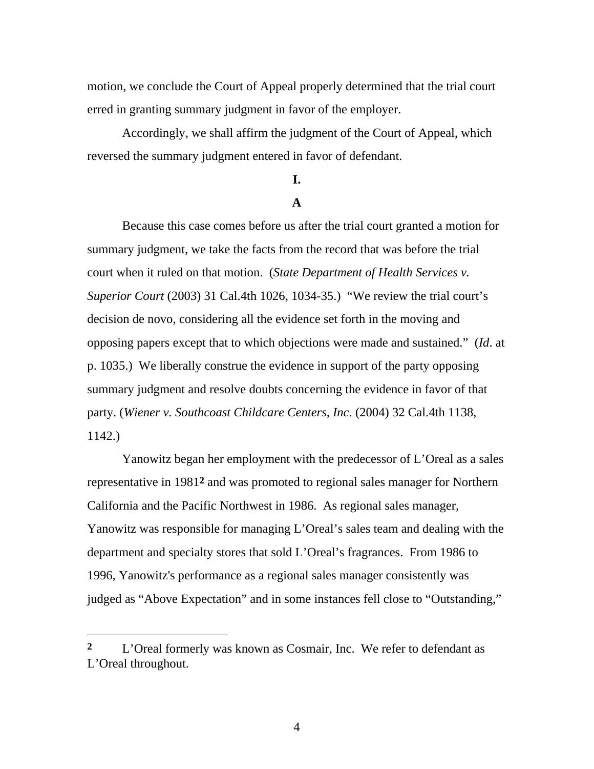motion, we conclude the Court of Appeal properly determined that the trial court erred in granting summary judgment in favor of the employer.

Accordingly, we shall affirm the judgment of the Court of Appeal, which reversed the summary judgment entered in favor of defendant.

## **I.**

## **A**

Because this case comes before us after the trial court granted a motion for summary judgment, we take the facts from the record that was before the trial court when it ruled on that motion. (*State Department of Health Services v. Superior Court* (2003) 31 Cal.4th 1026, 1034-35.) "We review the trial court's decision de novo, considering all the evidence set forth in the moving and opposing papers except that to which objections were made and sustained." (*Id*. at p. 1035.) We liberally construe the evidence in support of the party opposing summary judgment and resolve doubts concerning the evidence in favor of that party. (*Wiener v. Southcoast Childcare Centers, Inc*. (2004) 32 Cal.4th 1138, 1142.)

Yanowitz began her employment with the predecessor of L'Oreal as a sales representative in 1981**2** and was promoted to regional sales manager for Northern California and the Pacific Northwest in 1986. As regional sales manager, Yanowitz was responsible for managing L'Oreal's sales team and dealing with the department and specialty stores that sold L'Oreal's fragrances. From 1986 to 1996, Yanowitz's performance as a regional sales manager consistently was judged as "Above Expectation" and in some instances fell close to "Outstanding,"

**<sup>2</sup>** L'Oreal formerly was known as Cosmair, Inc. We refer to defendant as L'Oreal throughout.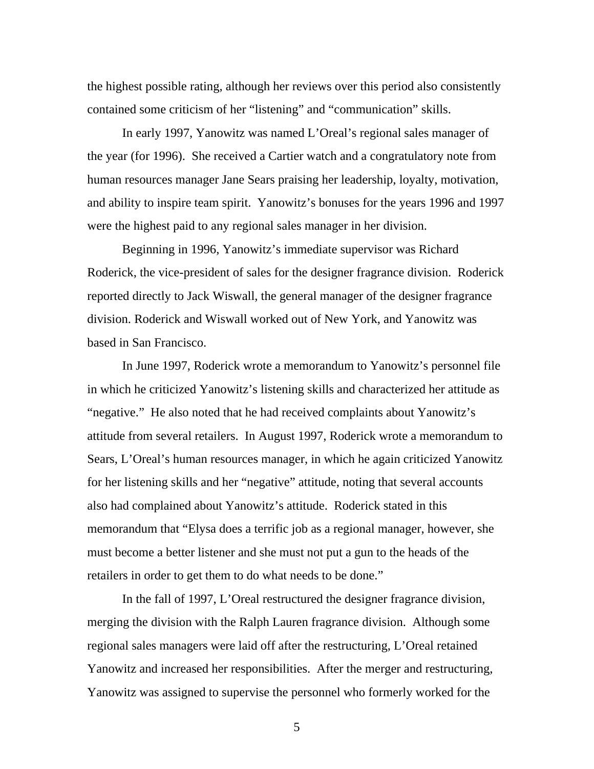the highest possible rating, although her reviews over this period also consistently contained some criticism of her "listening" and "communication" skills.

In early 1997, Yanowitz was named L'Oreal's regional sales manager of the year (for 1996). She received a Cartier watch and a congratulatory note from human resources manager Jane Sears praising her leadership, loyalty, motivation, and ability to inspire team spirit. Yanowitz's bonuses for the years 1996 and 1997 were the highest paid to any regional sales manager in her division.

Beginning in 1996, Yanowitz's immediate supervisor was Richard Roderick, the vice-president of sales for the designer fragrance division. Roderick reported directly to Jack Wiswall, the general manager of the designer fragrance division. Roderick and Wiswall worked out of New York, and Yanowitz was based in San Francisco.

In June 1997, Roderick wrote a memorandum to Yanowitz's personnel file in which he criticized Yanowitz's listening skills and characterized her attitude as "negative." He also noted that he had received complaints about Yanowitz's attitude from several retailers. In August 1997, Roderick wrote a memorandum to Sears, L'Oreal's human resources manager, in which he again criticized Yanowitz for her listening skills and her "negative" attitude, noting that several accounts also had complained about Yanowitz's attitude. Roderick stated in this memorandum that "Elysa does a terrific job as a regional manager, however, she must become a better listener and she must not put a gun to the heads of the retailers in order to get them to do what needs to be done."

In the fall of 1997, L'Oreal restructured the designer fragrance division, merging the division with the Ralph Lauren fragrance division. Although some regional sales managers were laid off after the restructuring, L'Oreal retained Yanowitz and increased her responsibilities. After the merger and restructuring, Yanowitz was assigned to supervise the personnel who formerly worked for the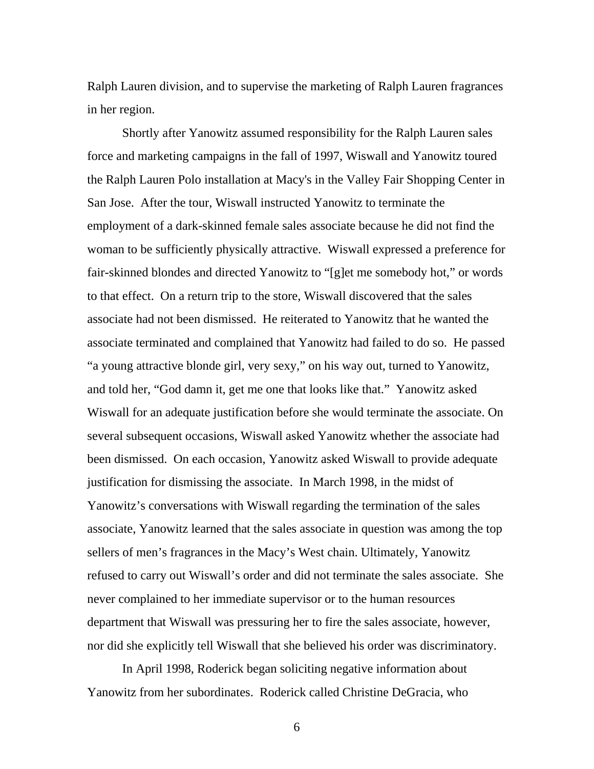Ralph Lauren division, and to supervise the marketing of Ralph Lauren fragrances in her region.

Shortly after Yanowitz assumed responsibility for the Ralph Lauren sales force and marketing campaigns in the fall of 1997, Wiswall and Yanowitz toured the Ralph Lauren Polo installation at Macy's in the Valley Fair Shopping Center in San Jose. After the tour, Wiswall instructed Yanowitz to terminate the employment of a dark-skinned female sales associate because he did not find the woman to be sufficiently physically attractive. Wiswall expressed a preference for fair-skinned blondes and directed Yanowitz to "[g]et me somebody hot," or words to that effect. On a return trip to the store, Wiswall discovered that the sales associate had not been dismissed. He reiterated to Yanowitz that he wanted the associate terminated and complained that Yanowitz had failed to do so. He passed "a young attractive blonde girl, very sexy," on his way out, turned to Yanowitz, and told her, "God damn it, get me one that looks like that." Yanowitz asked Wiswall for an adequate justification before she would terminate the associate. On several subsequent occasions, Wiswall asked Yanowitz whether the associate had been dismissed. On each occasion, Yanowitz asked Wiswall to provide adequate justification for dismissing the associate. In March 1998, in the midst of Yanowitz's conversations with Wiswall regarding the termination of the sales associate, Yanowitz learned that the sales associate in question was among the top sellers of men's fragrances in the Macy's West chain. Ultimately, Yanowitz refused to carry out Wiswall's order and did not terminate the sales associate. She never complained to her immediate supervisor or to the human resources department that Wiswall was pressuring her to fire the sales associate, however, nor did she explicitly tell Wiswall that she believed his order was discriminatory.

In April 1998, Roderick began soliciting negative information about Yanowitz from her subordinates. Roderick called Christine DeGracia, who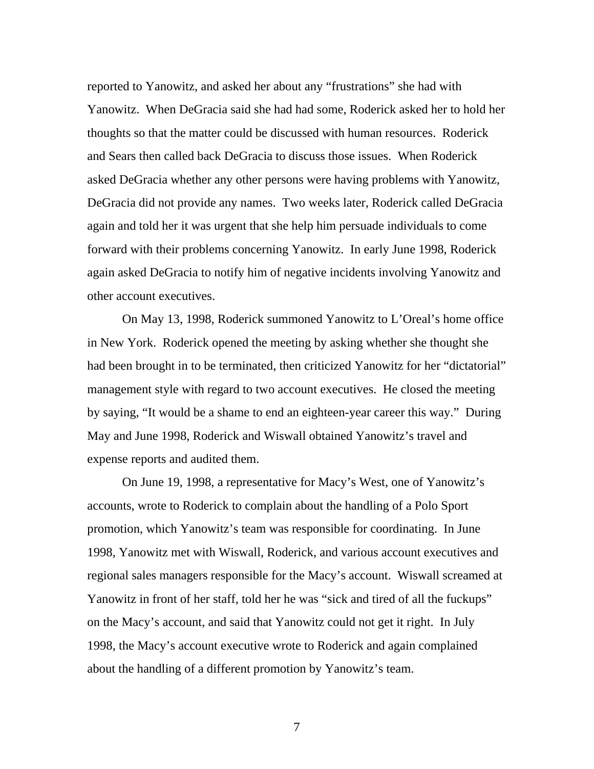reported to Yanowitz, and asked her about any "frustrations" she had with Yanowitz. When DeGracia said she had had some, Roderick asked her to hold her thoughts so that the matter could be discussed with human resources. Roderick and Sears then called back DeGracia to discuss those issues. When Roderick asked DeGracia whether any other persons were having problems with Yanowitz, DeGracia did not provide any names. Two weeks later, Roderick called DeGracia again and told her it was urgent that she help him persuade individuals to come forward with their problems concerning Yanowitz. In early June 1998, Roderick again asked DeGracia to notify him of negative incidents involving Yanowitz and other account executives.

On May 13, 1998, Roderick summoned Yanowitz to L'Oreal's home office in New York. Roderick opened the meeting by asking whether she thought she had been brought in to be terminated, then criticized Yanowitz for her "dictatorial" management style with regard to two account executives. He closed the meeting by saying, "It would be a shame to end an eighteen-year career this way." During May and June 1998, Roderick and Wiswall obtained Yanowitz's travel and expense reports and audited them.

On June 19, 1998, a representative for Macy's West, one of Yanowitz's accounts, wrote to Roderick to complain about the handling of a Polo Sport promotion, which Yanowitz's team was responsible for coordinating. In June 1998, Yanowitz met with Wiswall, Roderick, and various account executives and regional sales managers responsible for the Macy's account. Wiswall screamed at Yanowitz in front of her staff, told her he was "sick and tired of all the fuckups" on the Macy's account, and said that Yanowitz could not get it right. In July 1998, the Macy's account executive wrote to Roderick and again complained about the handling of a different promotion by Yanowitz's team.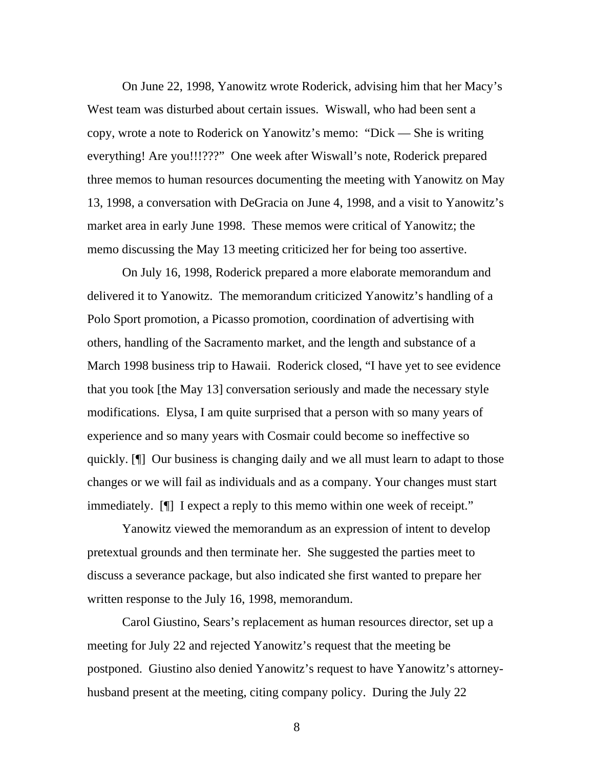On June 22, 1998, Yanowitz wrote Roderick, advising him that her Macy's West team was disturbed about certain issues. Wiswall, who had been sent a copy, wrote a note to Roderick on Yanowitz's memo: "Dick — She is writing everything! Are you!!!???" One week after Wiswall's note, Roderick prepared three memos to human resources documenting the meeting with Yanowitz on May 13, 1998, a conversation with DeGracia on June 4, 1998, and a visit to Yanowitz's market area in early June 1998. These memos were critical of Yanowitz; the memo discussing the May 13 meeting criticized her for being too assertive.

On July 16, 1998, Roderick prepared a more elaborate memorandum and delivered it to Yanowitz. The memorandum criticized Yanowitz's handling of a Polo Sport promotion, a Picasso promotion, coordination of advertising with others, handling of the Sacramento market, and the length and substance of a March 1998 business trip to Hawaii. Roderick closed, "I have yet to see evidence that you took [the May 13] conversation seriously and made the necessary style modifications. Elysa, I am quite surprised that a person with so many years of experience and so many years with Cosmair could become so ineffective so quickly. [¶] Our business is changing daily and we all must learn to adapt to those changes or we will fail as individuals and as a company. Your changes must start immediately. [¶] I expect a reply to this memo within one week of receipt."

Yanowitz viewed the memorandum as an expression of intent to develop pretextual grounds and then terminate her. She suggested the parties meet to discuss a severance package, but also indicated she first wanted to prepare her written response to the July 16, 1998, memorandum.

Carol Giustino, Sears's replacement as human resources director, set up a meeting for July 22 and rejected Yanowitz's request that the meeting be postponed. Giustino also denied Yanowitz's request to have Yanowitz's attorneyhusband present at the meeting, citing company policy. During the July 22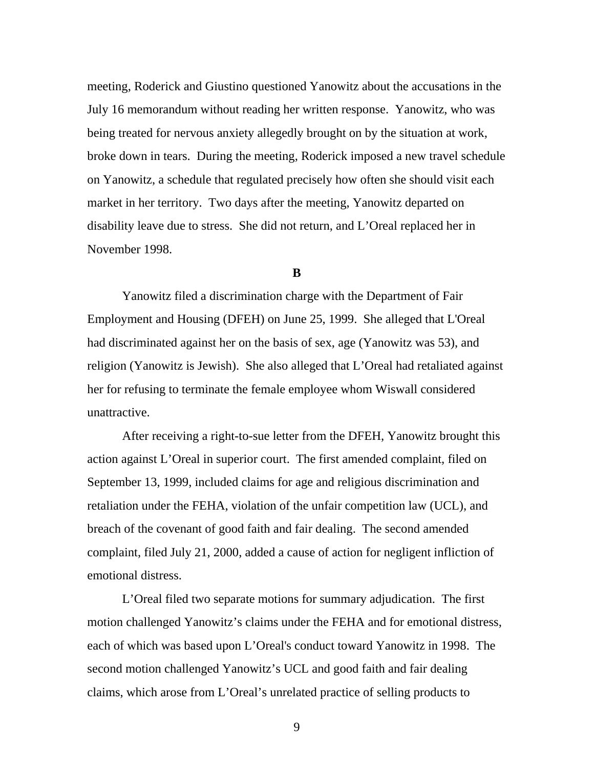meeting, Roderick and Giustino questioned Yanowitz about the accusations in the July 16 memorandum without reading her written response. Yanowitz, who was being treated for nervous anxiety allegedly brought on by the situation at work, broke down in tears. During the meeting, Roderick imposed a new travel schedule on Yanowitz, a schedule that regulated precisely how often she should visit each market in her territory. Two days after the meeting, Yanowitz departed on disability leave due to stress. She did not return, and L'Oreal replaced her in November 1998.

#### **B**

Yanowitz filed a discrimination charge with the Department of Fair Employment and Housing (DFEH) on June 25, 1999. She alleged that L'Oreal had discriminated against her on the basis of sex, age (Yanowitz was 53), and religion (Yanowitz is Jewish). She also alleged that L'Oreal had retaliated against her for refusing to terminate the female employee whom Wiswall considered unattractive.

After receiving a right-to-sue letter from the DFEH, Yanowitz brought this action against L'Oreal in superior court. The first amended complaint, filed on September 13, 1999, included claims for age and religious discrimination and retaliation under the FEHA, violation of the unfair competition law (UCL), and breach of the covenant of good faith and fair dealing. The second amended complaint, filed July 21, 2000, added a cause of action for negligent infliction of emotional distress.

L'Oreal filed two separate motions for summary adjudication. The first motion challenged Yanowitz's claims under the FEHA and for emotional distress, each of which was based upon L'Oreal's conduct toward Yanowitz in 1998. The second motion challenged Yanowitz's UCL and good faith and fair dealing claims, which arose from L'Oreal's unrelated practice of selling products to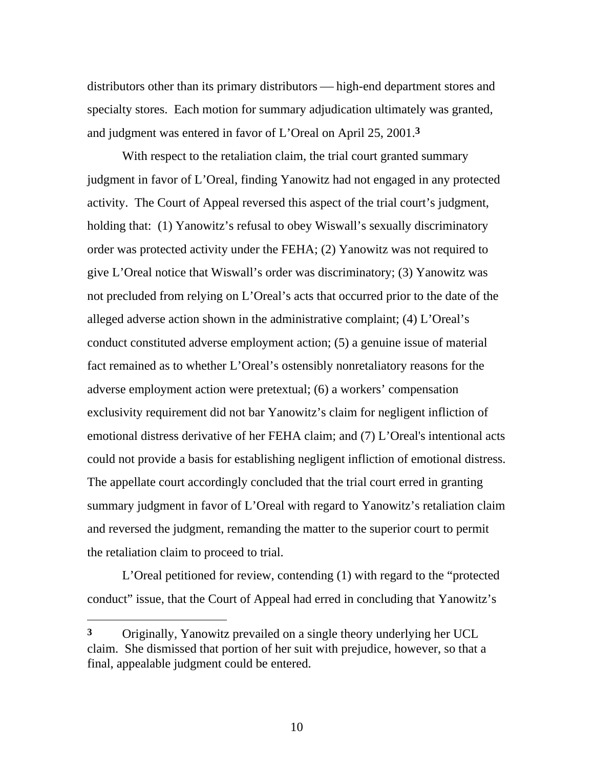distributors other than its primary distributors — high-end department stores and specialty stores. Each motion for summary adjudication ultimately was granted, and judgment was entered in favor of L'Oreal on April 25, 2001.**3**

With respect to the retaliation claim, the trial court granted summary judgment in favor of L'Oreal, finding Yanowitz had not engaged in any protected activity. The Court of Appeal reversed this aspect of the trial court's judgment, holding that: (1) Yanowitz's refusal to obey Wiswall's sexually discriminatory order was protected activity under the FEHA; (2) Yanowitz was not required to give L'Oreal notice that Wiswall's order was discriminatory; (3) Yanowitz was not precluded from relying on L'Oreal's acts that occurred prior to the date of the alleged adverse action shown in the administrative complaint; (4) L'Oreal's conduct constituted adverse employment action; (5) a genuine issue of material fact remained as to whether L'Oreal's ostensibly nonretaliatory reasons for the adverse employment action were pretextual; (6) a workers' compensation exclusivity requirement did not bar Yanowitz's claim for negligent infliction of emotional distress derivative of her FEHA claim; and (7) L'Oreal's intentional acts could not provide a basis for establishing negligent infliction of emotional distress. The appellate court accordingly concluded that the trial court erred in granting summary judgment in favor of L'Oreal with regard to Yanowitz's retaliation claim and reversed the judgment, remanding the matter to the superior court to permit the retaliation claim to proceed to trial.

L'Oreal petitioned for review, contending (1) with regard to the "protected conduct" issue, that the Court of Appeal had erred in concluding that Yanowitz's

**<sup>3</sup>** Originally, Yanowitz prevailed on a single theory underlying her UCL claim. She dismissed that portion of her suit with prejudice, however, so that a final, appealable judgment could be entered.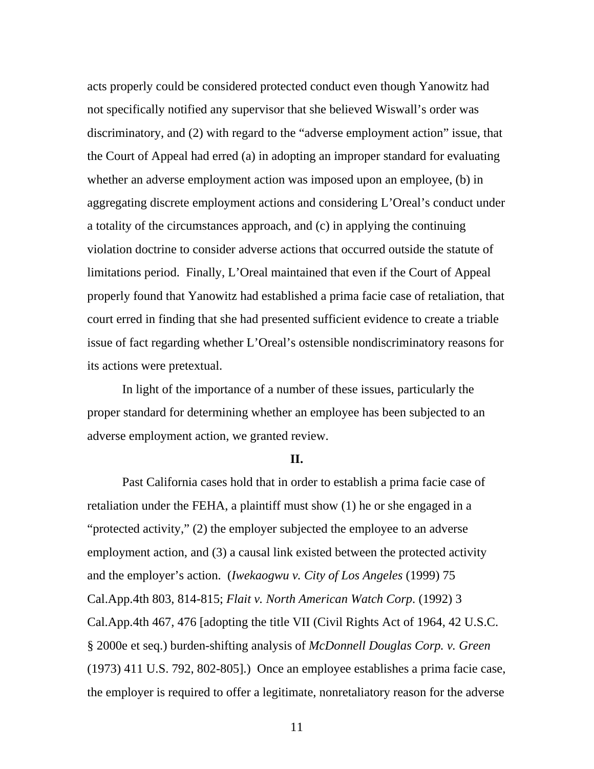acts properly could be considered protected conduct even though Yanowitz had not specifically notified any supervisor that she believed Wiswall's order was discriminatory, and (2) with regard to the "adverse employment action" issue, that the Court of Appeal had erred (a) in adopting an improper standard for evaluating whether an adverse employment action was imposed upon an employee, (b) in aggregating discrete employment actions and considering L'Oreal's conduct under a totality of the circumstances approach, and (c) in applying the continuing violation doctrine to consider adverse actions that occurred outside the statute of limitations period. Finally, L'Oreal maintained that even if the Court of Appeal properly found that Yanowitz had established a prima facie case of retaliation, that court erred in finding that she had presented sufficient evidence to create a triable issue of fact regarding whether L'Oreal's ostensible nondiscriminatory reasons for its actions were pretextual.

In light of the importance of a number of these issues, particularly the proper standard for determining whether an employee has been subjected to an adverse employment action, we granted review.

#### **II.**

Past California cases hold that in order to establish a prima facie case of retaliation under the FEHA, a plaintiff must show (1) he or she engaged in a "protected activity," (2) the employer subjected the employee to an adverse employment action, and (3) a causal link existed between the protected activity and the employer's action. (*Iwekaogwu v. City of Los Angeles* (1999) 75 Cal.App.4th 803, 814-815; *Flait v. North American Watch Corp*. (1992) 3 Cal.App.4th 467, 476 [adopting the title VII (Civil Rights Act of 1964, 42 U.S.C. § 2000e et seq.) burden-shifting analysis of *McDonnell Douglas Corp. v. Green* (1973) 411 U.S. 792, 802-805].) Once an employee establishes a prima facie case, the employer is required to offer a legitimate, nonretaliatory reason for the adverse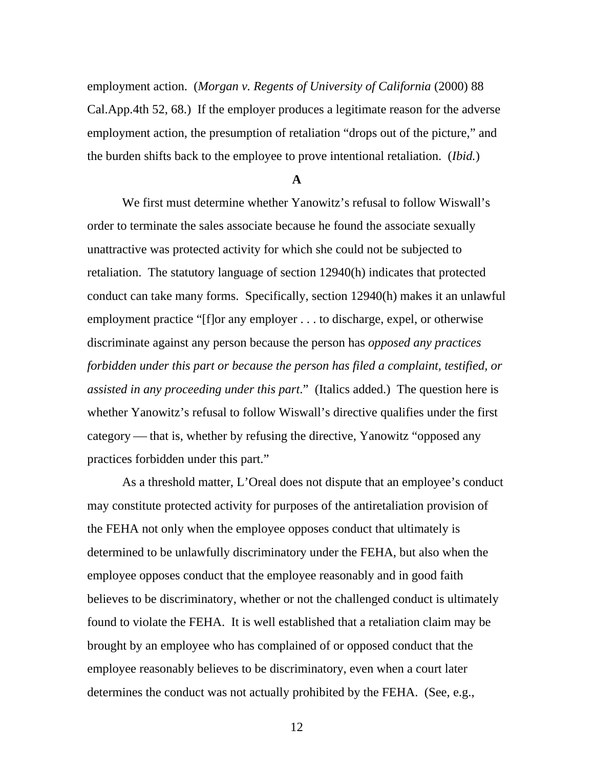employment action. (*Morgan v. Regents of University of California* (2000) 88 Cal.App.4th 52, 68.) If the employer produces a legitimate reason for the adverse employment action, the presumption of retaliation "drops out of the picture," and the burden shifts back to the employee to prove intentional retaliation. (*Ibid.*)

#### **A**

We first must determine whether Yanowitz's refusal to follow Wiswall's order to terminate the sales associate because he found the associate sexually unattractive was protected activity for which she could not be subjected to retaliation. The statutory language of section 12940(h) indicates that protected conduct can take many forms. Specifically, section 12940(h) makes it an unlawful employment practice "[f]or any employer . . . to discharge, expel, or otherwise discriminate against any person because the person has *opposed any practices forbidden under this part or because the person has filed a complaint, testified, or assisted in any proceeding under this part*." (Italics added.) The question here is whether Yanowitz's refusal to follow Wiswall's directive qualifies under the first category — that is, whether by refusing the directive, Yanowitz "opposed any practices forbidden under this part."

As a threshold matter, L'Oreal does not dispute that an employee's conduct may constitute protected activity for purposes of the antiretaliation provision of the FEHA not only when the employee opposes conduct that ultimately is determined to be unlawfully discriminatory under the FEHA, but also when the employee opposes conduct that the employee reasonably and in good faith believes to be discriminatory, whether or not the challenged conduct is ultimately found to violate the FEHA. It is well established that a retaliation claim may be brought by an employee who has complained of or opposed conduct that the employee reasonably believes to be discriminatory, even when a court later determines the conduct was not actually prohibited by the FEHA. (See, e.g.,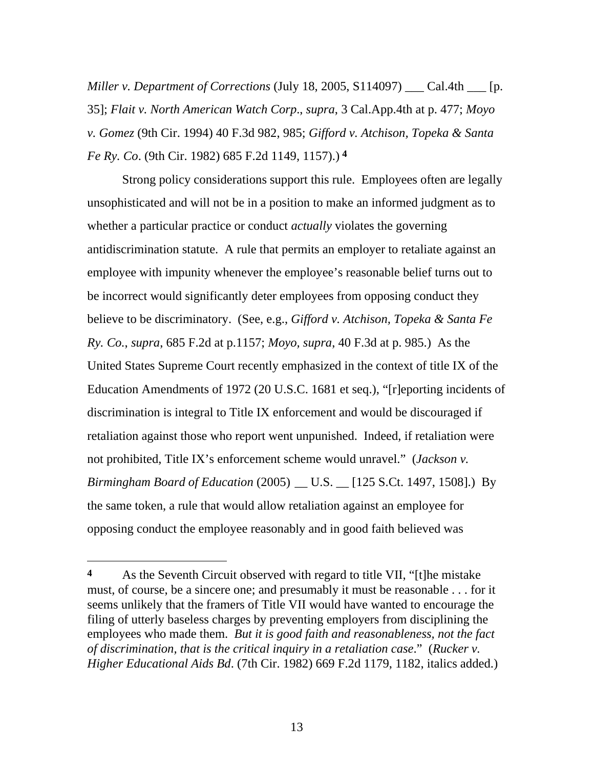*Miller v. Department of Corrections* (July 18, 2005, S114097) Cal.4th [p. 35]; *Flait v. North American Watch Corp*., *supra*, 3 Cal.App.4th at p. 477; *Moyo v. Gomez* (9th Cir. 1994) 40 F.3d 982, 985; *Gifford v. Atchison, Topeka & Santa Fe Ry. Co*. (9th Cir. 1982) 685 F.2d 1149, 1157).) **4**

Strong policy considerations support this rule. Employees often are legally unsophisticated and will not be in a position to make an informed judgment as to whether a particular practice or conduct *actually* violates the governing antidiscrimination statute. A rule that permits an employer to retaliate against an employee with impunity whenever the employee's reasonable belief turns out to be incorrect would significantly deter employees from opposing conduct they believe to be discriminatory. (See, e.g., *Gifford v. Atchison, Topeka & Santa Fe Ry. Co.*, *supra*, 685 F.2d at p.1157; *Moyo, supra*, 40 F.3d at p. 985.) As the United States Supreme Court recently emphasized in the context of title IX of the Education Amendments of 1972 (20 U.S.C. 1681 et seq.), "[r]eporting incidents of discrimination is integral to Title IX enforcement and would be discouraged if retaliation against those who report went unpunished. Indeed, if retaliation were not prohibited, Title IX's enforcement scheme would unravel." (*Jackson v. Birmingham Board of Education* (2005) \_\_ U.S. \_\_ [125 S.Ct. 1497, 1508].) By the same token, a rule that would allow retaliation against an employee for opposing conduct the employee reasonably and in good faith believed was

**<sup>4</sup>** As the Seventh Circuit observed with regard to title VII, "[t]he mistake must, of course, be a sincere one; and presumably it must be reasonable . . . for it seems unlikely that the framers of Title VII would have wanted to encourage the filing of utterly baseless charges by preventing employers from disciplining the employees who made them. *But it is good faith and reasonableness, not the fact of discrimination, that is the critical inquiry in a retaliation case*." (*Rucker v. Higher Educational Aids Bd*. (7th Cir. 1982) 669 F.2d 1179, 1182, italics added.)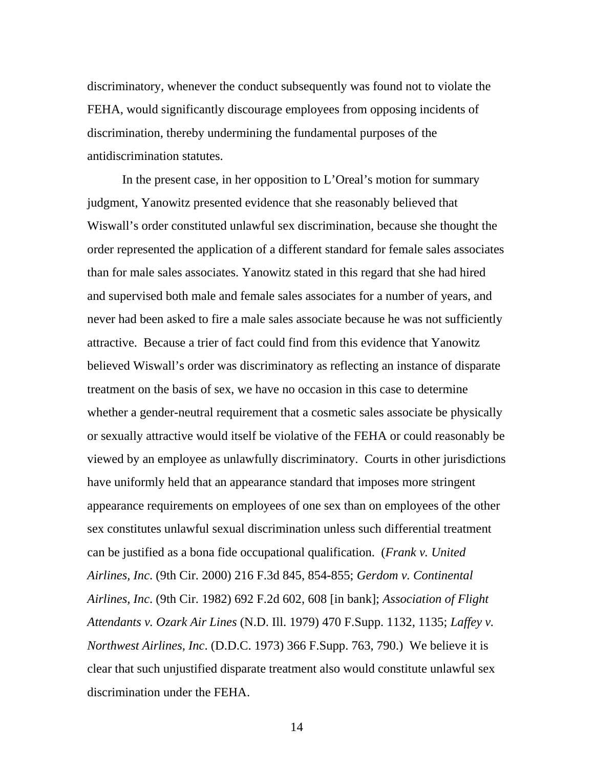discriminatory, whenever the conduct subsequently was found not to violate the FEHA, would significantly discourage employees from opposing incidents of discrimination, thereby undermining the fundamental purposes of the antidiscrimination statutes.

In the present case, in her opposition to  $L$  Oreal's motion for summary judgment, Yanowitz presented evidence that she reasonably believed that Wiswall's order constituted unlawful sex discrimination, because she thought the order represented the application of a different standard for female sales associates than for male sales associates. Yanowitz stated in this regard that she had hired and supervised both male and female sales associates for a number of years, and never had been asked to fire a male sales associate because he was not sufficiently attractive. Because a trier of fact could find from this evidence that Yanowitz believed Wiswall's order was discriminatory as reflecting an instance of disparate treatment on the basis of sex, we have no occasion in this case to determine whether a gender-neutral requirement that a cosmetic sales associate be physically or sexually attractive would itself be violative of the FEHA or could reasonably be viewed by an employee as unlawfully discriminatory. Courts in other jurisdictions have uniformly held that an appearance standard that imposes more stringent appearance requirements on employees of one sex than on employees of the other sex constitutes unlawful sexual discrimination unless such differential treatment can be justified as a bona fide occupational qualification. (*Frank v. United Airlines, Inc*. (9th Cir. 2000) 216 F.3d 845, 854-855; *Gerdom v. Continental Airlines, Inc*. (9th Cir. 1982) 692 F.2d 602, 608 [in bank]; *Association of Flight Attendants v. Ozark Air Lines* (N.D. Ill. 1979) 470 F.Supp. 1132, 1135; *Laffey v. Northwest Airlines, Inc*. (D.D.C. 1973) 366 F.Supp. 763, 790.) We believe it is clear that such unjustified disparate treatment also would constitute unlawful sex discrimination under the FEHA.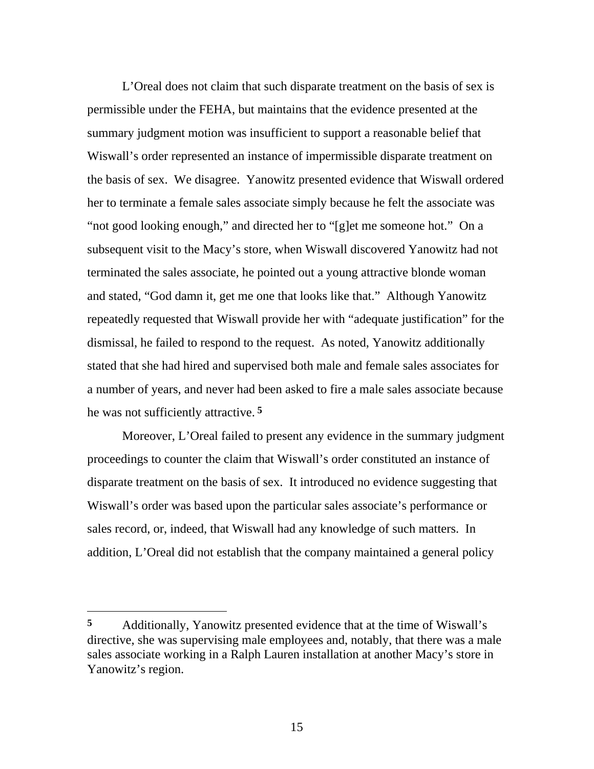L'Oreal does not claim that such disparate treatment on the basis of sex is permissible under the FEHA, but maintains that the evidence presented at the summary judgment motion was insufficient to support a reasonable belief that Wiswall's order represented an instance of impermissible disparate treatment on the basis of sex. We disagree. Yanowitz presented evidence that Wiswall ordered her to terminate a female sales associate simply because he felt the associate was "not good looking enough," and directed her to "[g]et me someone hot." On a subsequent visit to the Macy's store, when Wiswall discovered Yanowitz had not terminated the sales associate, he pointed out a young attractive blonde woman and stated, "God damn it, get me one that looks like that." Although Yanowitz repeatedly requested that Wiswall provide her with "adequate justification" for the dismissal, he failed to respond to the request. As noted, Yanowitz additionally stated that she had hired and supervised both male and female sales associates for a number of years, and never had been asked to fire a male sales associate because he was not sufficiently attractive. **5**

Moreover, L'Oreal failed to present any evidence in the summary judgment proceedings to counter the claim that Wiswall's order constituted an instance of disparate treatment on the basis of sex. It introduced no evidence suggesting that Wiswall's order was based upon the particular sales associate's performance or sales record, or, indeed, that Wiswall had any knowledge of such matters. In addition, L'Oreal did not establish that the company maintained a general policy

**<sup>5</sup>** Additionally, Yanowitz presented evidence that at the time of Wiswall's directive, she was supervising male employees and, notably, that there was a male sales associate working in a Ralph Lauren installation at another Macy's store in Yanowitz's region.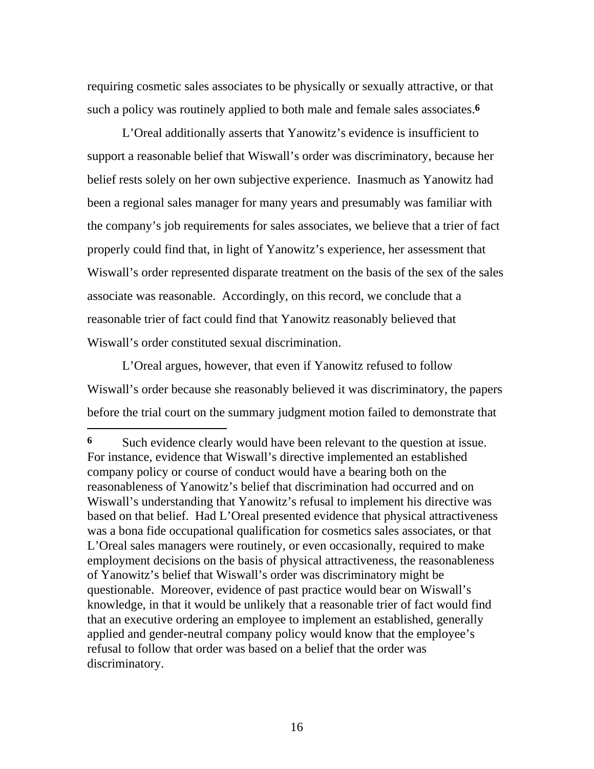requiring cosmetic sales associates to be physically or sexually attractive, or that such a policy was routinely applied to both male and female sales associates.**6**

L'Oreal additionally asserts that Yanowitz's evidence is insufficient to support a reasonable belief that Wiswall's order was discriminatory, because her belief rests solely on her own subjective experience. Inasmuch as Yanowitz had been a regional sales manager for many years and presumably was familiar with the company's job requirements for sales associates, we believe that a trier of fact properly could find that, in light of Yanowitz's experience, her assessment that Wiswall's order represented disparate treatment on the basis of the sex of the sales associate was reasonable. Accordingly, on this record, we conclude that a reasonable trier of fact could find that Yanowitz reasonably believed that Wiswall's order constituted sexual discrimination.

L'Oreal argues, however, that even if Yanowitz refused to follow Wiswall's order because she reasonably believed it was discriminatory, the papers before the trial court on the summary judgment motion failed to demonstrate that

**<sup>6</sup>** Such evidence clearly would have been relevant to the question at issue. For instance, evidence that Wiswall's directive implemented an established company policy or course of conduct would have a bearing both on the reasonableness of Yanowitz's belief that discrimination had occurred and on Wiswall's understanding that Yanowitz's refusal to implement his directive was based on that belief. Had L'Oreal presented evidence that physical attractiveness was a bona fide occupational qualification for cosmetics sales associates, or that L'Oreal sales managers were routinely, or even occasionally, required to make employment decisions on the basis of physical attractiveness, the reasonableness of Yanowitz's belief that Wiswall's order was discriminatory might be questionable. Moreover, evidence of past practice would bear on Wiswall's knowledge, in that it would be unlikely that a reasonable trier of fact would find that an executive ordering an employee to implement an established, generally applied and gender-neutral company policy would know that the employee's refusal to follow that order was based on a belief that the order was discriminatory.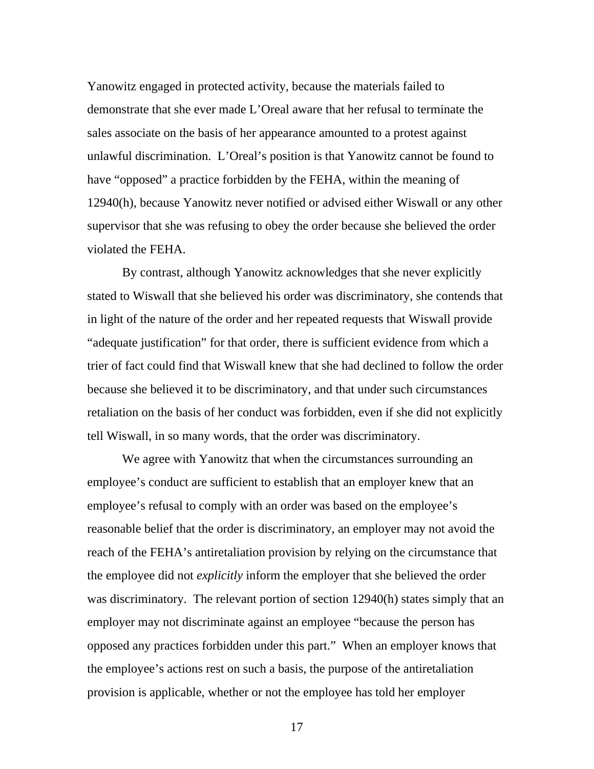Yanowitz engaged in protected activity, because the materials failed to demonstrate that she ever made L'Oreal aware that her refusal to terminate the sales associate on the basis of her appearance amounted to a protest against unlawful discrimination. L'Oreal's position is that Yanowitz cannot be found to have "opposed" a practice forbidden by the FEHA, within the meaning of 12940(h), because Yanowitz never notified or advised either Wiswall or any other supervisor that she was refusing to obey the order because she believed the order violated the FEHA.

By contrast, although Yanowitz acknowledges that she never explicitly stated to Wiswall that she believed his order was discriminatory, she contends that in light of the nature of the order and her repeated requests that Wiswall provide "adequate justification" for that order, there is sufficient evidence from which a trier of fact could find that Wiswall knew that she had declined to follow the order because she believed it to be discriminatory, and that under such circumstances retaliation on the basis of her conduct was forbidden, even if she did not explicitly tell Wiswall, in so many words, that the order was discriminatory.

We agree with Yanowitz that when the circumstances surrounding an employee's conduct are sufficient to establish that an employer knew that an employee's refusal to comply with an order was based on the employee's reasonable belief that the order is discriminatory, an employer may not avoid the reach of the FEHA's antiretaliation provision by relying on the circumstance that the employee did not *explicitly* inform the employer that she believed the order was discriminatory. The relevant portion of section 12940(h) states simply that an employer may not discriminate against an employee "because the person has opposed any practices forbidden under this part." When an employer knows that the employee's actions rest on such a basis, the purpose of the antiretaliation provision is applicable, whether or not the employee has told her employer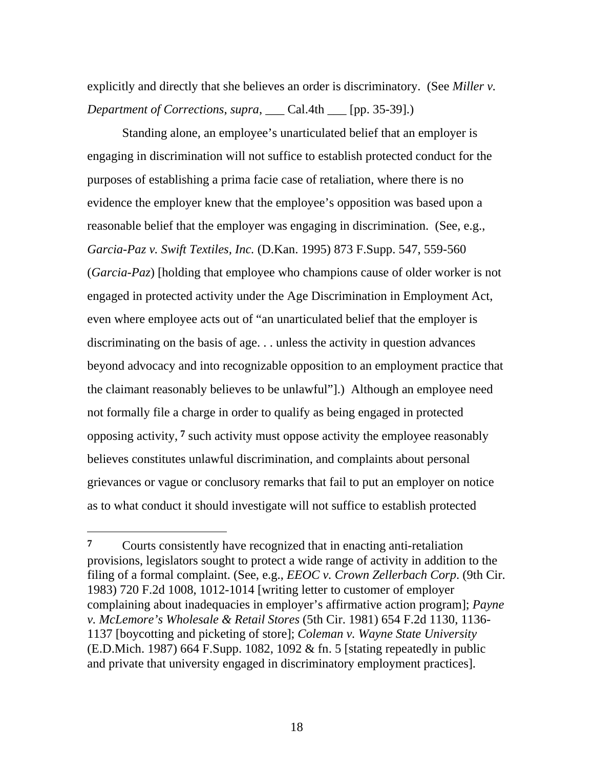explicitly and directly that she believes an order is discriminatory. (See *Miller v. Department of Corrections*, *supra*, \_\_\_ Cal.4th \_\_\_ [pp. 35-39].)

Standing alone, an employee's unarticulated belief that an employer is engaging in discrimination will not suffice to establish protected conduct for the purposes of establishing a prima facie case of retaliation, where there is no evidence the employer knew that the employee's opposition was based upon a reasonable belief that the employer was engaging in discrimination. (See, e.g., *Garcia-Paz v. Swift Textiles, Inc.* (D.Kan. 1995) 873 F.Supp. 547, 559-560 (*Garcia-Paz*) [holding that employee who champions cause of older worker is not engaged in protected activity under the Age Discrimination in Employment Act, even where employee acts out of "an unarticulated belief that the employer is discriminating on the basis of age. . . unless the activity in question advances beyond advocacy and into recognizable opposition to an employment practice that the claimant reasonably believes to be unlawful"].) Although an employee need not formally file a charge in order to qualify as being engaged in protected opposing activity, **7** such activity must oppose activity the employee reasonably believes constitutes unlawful discrimination, and complaints about personal grievances or vague or conclusory remarks that fail to put an employer on notice as to what conduct it should investigate will not suffice to establish protected

**<sup>7</sup>** Courts consistently have recognized that in enacting anti-retaliation provisions, legislators sought to protect a wide range of activity in addition to the filing of a formal complaint. (See, e.g., *EEOC v. Crown Zellerbach Corp*. (9th Cir. 1983) 720 F.2d 1008, 1012-1014 [writing letter to customer of employer complaining about inadequacies in employer's affirmative action program]; *Payne v. McLemore's Wholesale & Retail Stores* (5th Cir. 1981) 654 F.2d 1130, 1136- 1137 [boycotting and picketing of store]; *Coleman v. Wayne State University* (E.D.Mich. 1987) 664 F.Supp. 1082, 1092 & fn. 5 [stating repeatedly in public and private that university engaged in discriminatory employment practices].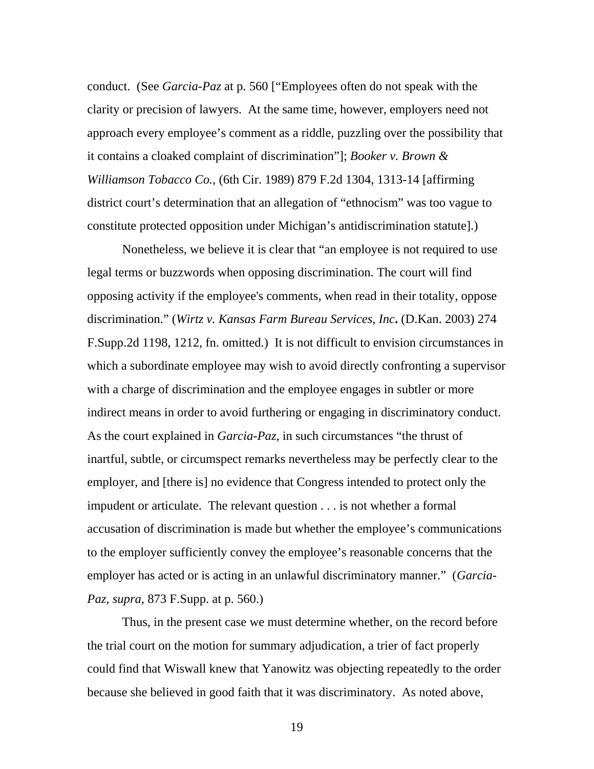conduct. (See *Garcia-Paz* at p. 560 ["Employees often do not speak with the clarity or precision of lawyers. At the same time, however, employers need not approach every employee's comment as a riddle, puzzling over the possibility that it contains a cloaked complaint of discrimination"]; *Booker v. Brown & Williamson Tobacco Co.*, (6th Cir. 1989) 879 F.2d 1304, 1313-14 [affirming district court's determination that an allegation of "ethnocism" was too vague to constitute protected opposition under Michigan's antidiscrimination statute].)

Nonetheless, we believe it is clear that "an employee is not required to use legal terms or buzzwords when opposing discrimination. The court will find opposing activity if the employee's comments, when read in their totality, oppose discrimination." (*Wirtz v. Kansas Farm Bureau Services, Inc***.** (D.Kan. 2003) 274 F.Supp.2d 1198, 1212, fn. omitted.) It is not difficult to envision circumstances in which a subordinate employee may wish to avoid directly confronting a supervisor with a charge of discrimination and the employee engages in subtler or more indirect means in order to avoid furthering or engaging in discriminatory conduct. As the court explained in *Garcia-Paz*, in such circumstances "the thrust of inartful, subtle, or circumspect remarks nevertheless may be perfectly clear to the employer, and [there is] no evidence that Congress intended to protect only the impudent or articulate. The relevant question . . . is not whether a formal accusation of discrimination is made but whether the employee's communications to the employer sufficiently convey the employee's reasonable concerns that the employer has acted or is acting in an unlawful discriminatory manner." (*Garcia-Paz*, *supra,* 873 F.Supp. at p. 560.)

Thus, in the present case we must determine whether, on the record before the trial court on the motion for summary adjudication, a trier of fact properly could find that Wiswall knew that Yanowitz was objecting repeatedly to the order because she believed in good faith that it was discriminatory. As noted above,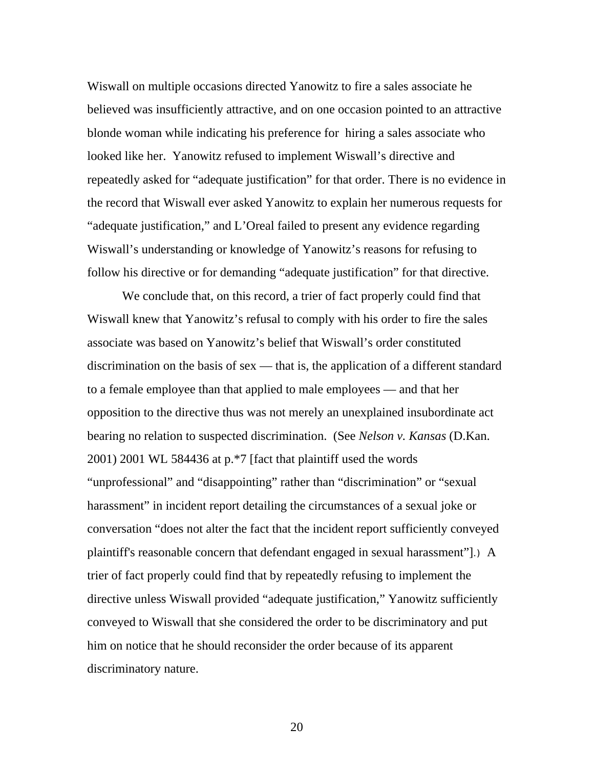Wiswall on multiple occasions directed Yanowitz to fire a sales associate he believed was insufficiently attractive, and on one occasion pointed to an attractive blonde woman while indicating his preference for hiring a sales associate who looked like her. Yanowitz refused to implement Wiswall's directive and repeatedly asked for "adequate justification" for that order. There is no evidence in the record that Wiswall ever asked Yanowitz to explain her numerous requests for "adequate justification," and L'Oreal failed to present any evidence regarding Wiswall's understanding or knowledge of Yanowitz's reasons for refusing to follow his directive or for demanding "adequate justification" for that directive.

We conclude that, on this record, a trier of fact properly could find that Wiswall knew that Yanowitz's refusal to comply with his order to fire the sales associate was based on Yanowitz's belief that Wiswall's order constituted discrimination on the basis of sex — that is, the application of a different standard to a female employee than that applied to male employees — and that her opposition to the directive thus was not merely an unexplained insubordinate act bearing no relation to suspected discrimination. (See *Nelson v. Kansas* (D.Kan. 2001) 2001 WL 584436 at p.\*7 [fact that plaintiff used the words "unprofessional" and "disappointing" rather than "discrimination" or "sexual harassment" in incident report detailing the circumstances of a sexual joke or conversation "does not alter the fact that the incident report sufficiently conveyed plaintiff's reasonable concern that defendant engaged in sexual harassment"].) A trier of fact properly could find that by repeatedly refusing to implement the directive unless Wiswall provided "adequate justification," Yanowitz sufficiently conveyed to Wiswall that she considered the order to be discriminatory and put him on notice that he should reconsider the order because of its apparent discriminatory nature.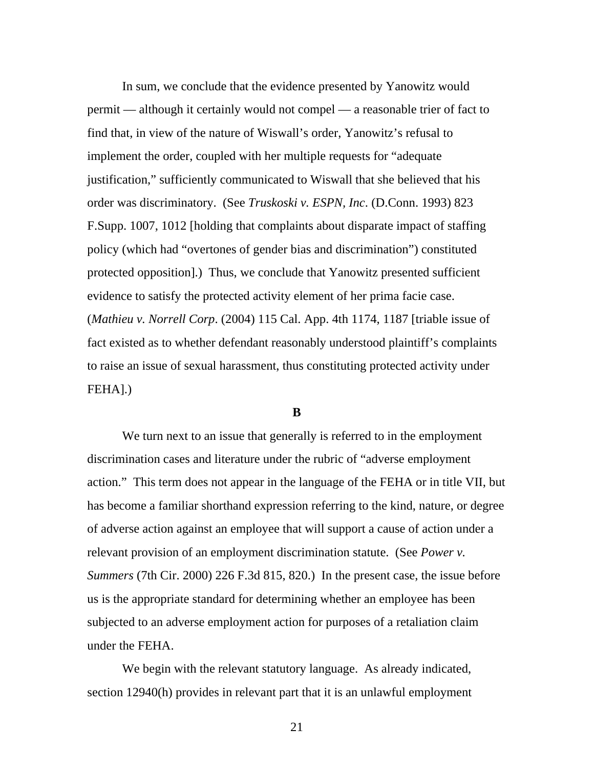In sum, we conclude that the evidence presented by Yanowitz would permit — although it certainly would not compel — a reasonable trier of fact to find that, in view of the nature of Wiswall's order, Yanowitz's refusal to implement the order, coupled with her multiple requests for "adequate justification," sufficiently communicated to Wiswall that she believed that his order was discriminatory. (See *Truskoski v. ESPN, Inc*. (D.Conn. 1993) 823 F.Supp. 1007, 1012 [holding that complaints about disparate impact of staffing policy (which had "overtones of gender bias and discrimination") constituted protected opposition].) Thus, we conclude that Yanowitz presented sufficient evidence to satisfy the protected activity element of her prima facie case. (*Mathieu v. Norrell Corp*. (2004) 115 Cal. App. 4th 1174, 1187 [triable issue of fact existed as to whether defendant reasonably understood plaintiff's complaints to raise an issue of sexual harassment, thus constituting protected activity under FEHA].)

## **B**

We turn next to an issue that generally is referred to in the employment discrimination cases and literature under the rubric of "adverse employment action." This term does not appear in the language of the FEHA or in title VII, but has become a familiar shorthand expression referring to the kind, nature, or degree of adverse action against an employee that will support a cause of action under a relevant provision of an employment discrimination statute. (See *Power v. Summers* (7th Cir. 2000) 226 F.3d 815, 820.) In the present case, the issue before us is the appropriate standard for determining whether an employee has been subjected to an adverse employment action for purposes of a retaliation claim under the FEHA.

 We begin with the relevant statutory language. As already indicated, section 12940(h) provides in relevant part that it is an unlawful employment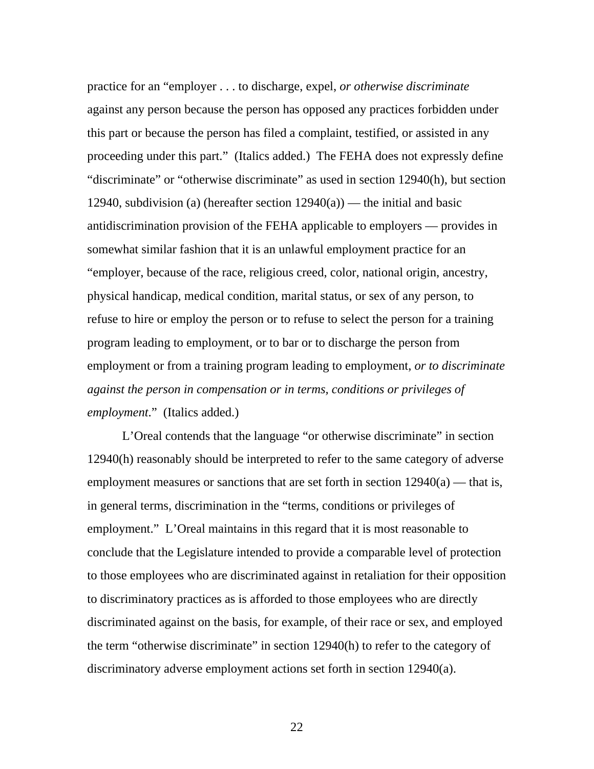practice for an "employer . . . to discharge, expel, *or otherwise discriminate* against any person because the person has opposed any practices forbidden under this part or because the person has filed a complaint, testified, or assisted in any proceeding under this part." (Italics added.) The FEHA does not expressly define "discriminate" or "otherwise discriminate" as used in section 12940(h), but section 12940, subdivision (a) (hereafter section  $12940(a)$ ) — the initial and basic antidiscrimination provision of the FEHA applicable to employers — provides in somewhat similar fashion that it is an unlawful employment practice for an "employer, because of the race, religious creed, color, national origin, ancestry, physical handicap, medical condition, marital status, or sex of any person, to refuse to hire or employ the person or to refuse to select the person for a training program leading to employment, or to bar or to discharge the person from employment or from a training program leading to employment, *or to discriminate against the person in compensation or in terms, conditions or privileges of employment*." (Italics added.)

 L'Oreal contends that the language "or otherwise discriminate" in section 12940(h) reasonably should be interpreted to refer to the same category of adverse employment measures or sanctions that are set forth in section  $12940(a)$  — that is, in general terms, discrimination in the "terms, conditions or privileges of employment." L'Oreal maintains in this regard that it is most reasonable to conclude that the Legislature intended to provide a comparable level of protection to those employees who are discriminated against in retaliation for their opposition to discriminatory practices as is afforded to those employees who are directly discriminated against on the basis, for example, of their race or sex, and employed the term "otherwise discriminate" in section 12940(h) to refer to the category of discriminatory adverse employment actions set forth in section 12940(a).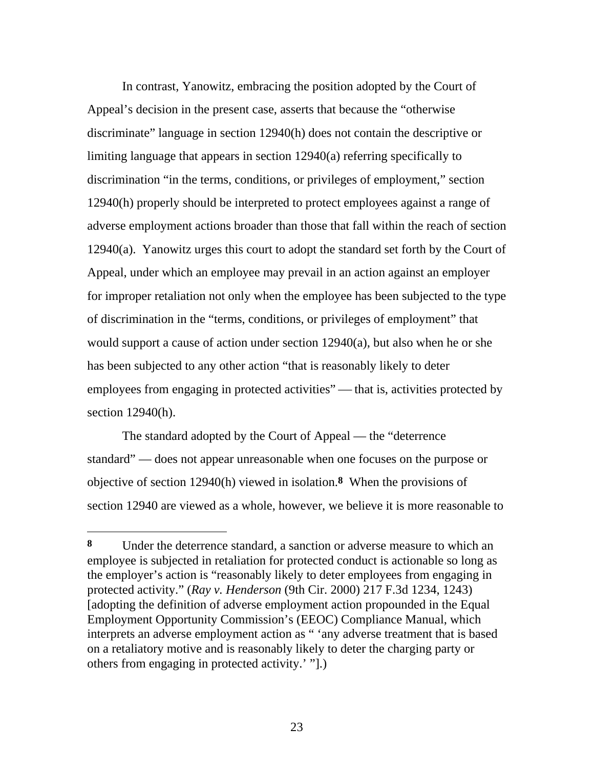In contrast, Yanowitz, embracing the position adopted by the Court of Appeal's decision in the present case, asserts that because the "otherwise discriminate" language in section 12940(h) does not contain the descriptive or limiting language that appears in section 12940(a) referring specifically to discrimination "in the terms, conditions, or privileges of employment," section 12940(h) properly should be interpreted to protect employees against a range of adverse employment actions broader than those that fall within the reach of section 12940(a). Yanowitz urges this court to adopt the standard set forth by the Court of Appeal, under which an employee may prevail in an action against an employer for improper retaliation not only when the employee has been subjected to the type of discrimination in the "terms, conditions, or privileges of employment" that would support a cause of action under section 12940(a), but also when he or she has been subjected to any other action "that is reasonably likely to deter employees from engaging in protected activities" — that is, activities protected by section 12940(h).

 The standard adopted by the Court of Appeal — the "deterrence standard" — does not appear unreasonable when one focuses on the purpose or objective of section 12940(h) viewed in isolation.**8** When the provisions of section 12940 are viewed as a whole, however, we believe it is more reasonable to

**<sup>8</sup>** Under the deterrence standard, a sanction or adverse measure to which an employee is subjected in retaliation for protected conduct is actionable so long as the employer's action is "reasonably likely to deter employees from engaging in protected activity." (*Ray v. Henderson* (9th Cir. 2000) 217 F.3d 1234, 1243) [adopting the definition of adverse employment action propounded in the Equal Employment Opportunity Commission's (EEOC) Compliance Manual, which interprets an adverse employment action as " 'any adverse treatment that is based on a retaliatory motive and is reasonably likely to deter the charging party or others from engaging in protected activity.' "].)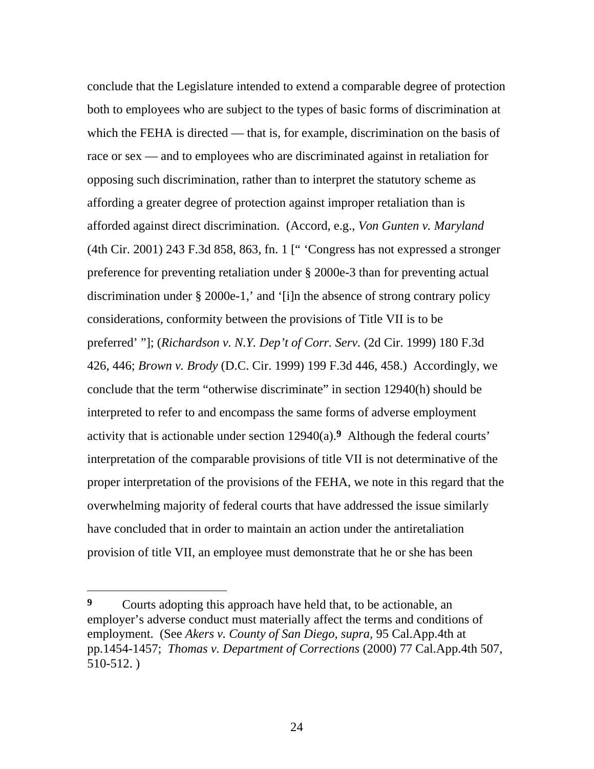conclude that the Legislature intended to extend a comparable degree of protection both to employees who are subject to the types of basic forms of discrimination at which the FEHA is directed — that is, for example, discrimination on the basis of race or sex — and to employees who are discriminated against in retaliation for opposing such discrimination, rather than to interpret the statutory scheme as affording a greater degree of protection against improper retaliation than is afforded against direct discrimination. (Accord, e.g., *Von Gunten v. Maryland* (4th Cir. 2001) 243 F.3d 858, 863, fn. 1 [" 'Congress has not expressed a stronger preference for preventing retaliation under § 2000e-3 than for preventing actual discrimination under § 2000e-1,' and '[i]n the absence of strong contrary policy considerations, conformity between the provisions of Title VII is to be preferred' "]; (*Richardson v. N.Y. Dep't of Corr. Serv.* (2d Cir. 1999) 180 F.3d 426, 446; *Brown v. Brody* (D.C. Cir. 1999) 199 F.3d 446, 458.) Accordingly, we conclude that the term "otherwise discriminate" in section 12940(h) should be interpreted to refer to and encompass the same forms of adverse employment activity that is actionable under section 12940(a).**9** Although the federal courts' interpretation of the comparable provisions of title VII is not determinative of the proper interpretation of the provisions of the FEHA, we note in this regard that the overwhelming majority of federal courts that have addressed the issue similarly have concluded that in order to maintain an action under the antiretaliation provision of title VII, an employee must demonstrate that he or she has been

**<sup>9</sup>** Courts adopting this approach have held that, to be actionable, an employer's adverse conduct must materially affect the terms and conditions of employment. (See *Akers v. County of San Diego, supra,* 95 Cal.App.4th at pp.1454-1457; *Thomas v. Department of Corrections* (2000) 77 Cal.App.4th 507, 510-512. )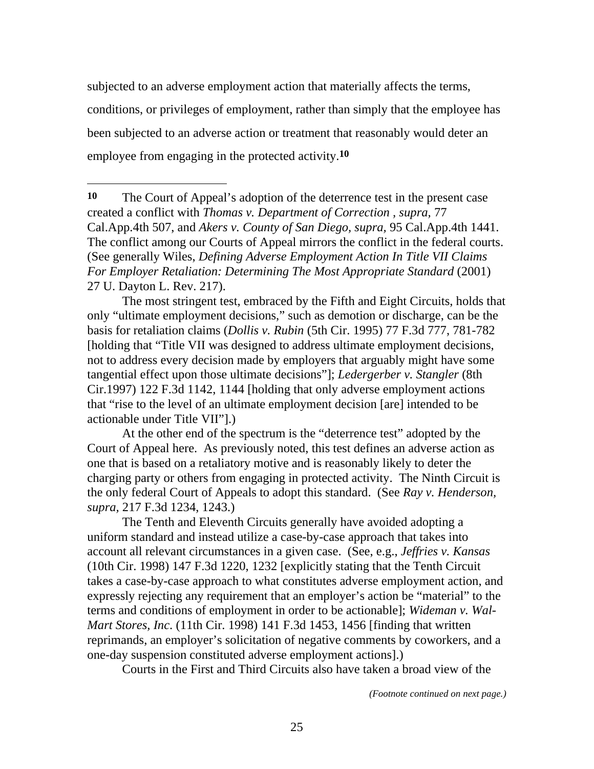subjected to an adverse employment action that materially affects the terms, conditions, or privileges of employment, rather than simply that the employee has been subjected to an adverse action or treatment that reasonably would deter an employee from engaging in the protected activity.**10**

 $\overline{a}$ 

 The most stringent test, embraced by the Fifth and Eight Circuits, holds that only "ultimate employment decisions," such as demotion or discharge, can be the basis for retaliation claims (*Dollis v. Rubin* (5th Cir. 1995) 77 F.3d 777, 781-782 [holding that "Title VII was designed to address ultimate employment decisions, not to address every decision made by employers that arguably might have some tangential effect upon those ultimate decisions"]; *Ledergerber v. Stangler* (8th Cir.1997) 122 F.3d 1142, 1144 [holding that only adverse employment actions that "rise to the level of an ultimate employment decision [are] intended to be actionable under Title VII"].)

 At the other end of the spectrum is the "deterrence test" adopted by the Court of Appeal here. As previously noted, this test defines an adverse action as one that is based on a retaliatory motive and is reasonably likely to deter the charging party or others from engaging in protected activity. The Ninth Circuit is the only federal Court of Appeals to adopt this standard. (See *Ray v. Henderson, supra,* 217 F.3d 1234, 1243.)

 The Tenth and Eleventh Circuits generally have avoided adopting a uniform standard and instead utilize a case-by-case approach that takes into account all relevant circumstances in a given case. (See, e.g., *Jeffries v. Kansas*  (10th Cir. 1998) 147 F.3d 1220, 1232 [explicitly stating that the Tenth Circuit takes a case-by-case approach to what constitutes adverse employment action, and expressly rejecting any requirement that an employer's action be "material" to the terms and conditions of employment in order to be actionable]; *Wideman v. Wal-Mart Stores, Inc*. (11th Cir. 1998) 141 F.3d 1453, 1456 [finding that written reprimands, an employer's solicitation of negative comments by coworkers, and a one-day suspension constituted adverse employment actions].)

Courts in the First and Third Circuits also have taken a broad view of the

*(Footnote continued on next page.)* 

**<sup>10</sup>** The Court of Appeal's adoption of the deterrence test in the present case created a conflict with *Thomas v. Department of Correction , supra,* 77 Cal.App.4th 507, and *Akers v. County of San Diego, supra,* 95 Cal.App.4th 1441. The conflict among our Courts of Appeal mirrors the conflict in the federal courts. (See generally Wiles, *Defining Adverse Employment Action In Title VII Claims For Employer Retaliation: Determining The Most Appropriate Standard* (2001) 27 U. Dayton L. Rev. 217).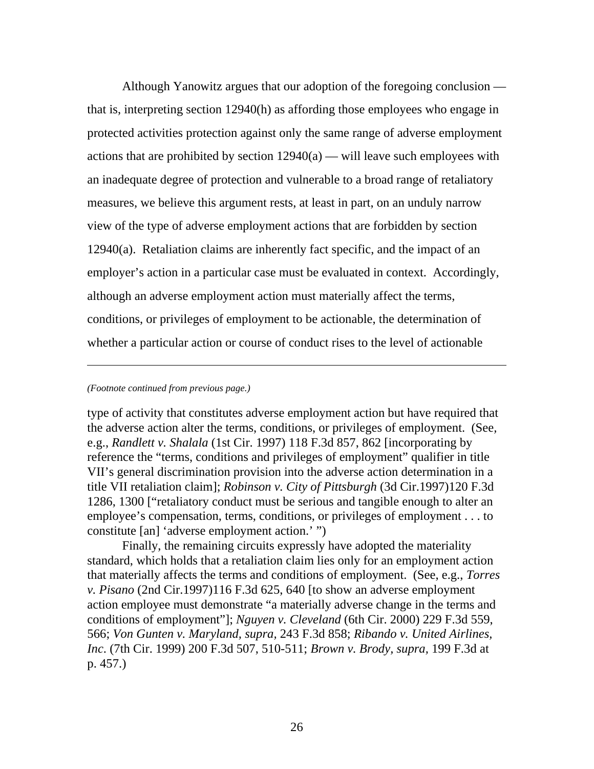Although Yanowitz argues that our adoption of the foregoing conclusion that is, interpreting section 12940(h) as affording those employees who engage in protected activities protection against only the same range of adverse employment actions that are prohibited by section  $12940(a)$  — will leave such employees with an inadequate degree of protection and vulnerable to a broad range of retaliatory measures, we believe this argument rests, at least in part, on an unduly narrow view of the type of adverse employment actions that are forbidden by section 12940(a). Retaliation claims are inherently fact specific, and the impact of an employer's action in a particular case must be evaluated in context. Accordingly, although an adverse employment action must materially affect the terms, conditions, or privileges of employment to be actionable, the determination of whether a particular action or course of conduct rises to the level of actionable

#### *(Footnote continued from previous page.)*

type of activity that constitutes adverse employment action but have required that the adverse action alter the terms, conditions, or privileges of employment. (See*,*  e.g., *Randlett v. Shalala* (1st Cir. 1997) 118 F.3d 857, 862 [incorporating by reference the "terms, conditions and privileges of employment" qualifier in title VII's general discrimination provision into the adverse action determination in a title VII retaliation claim]; *Robinson v. City of Pittsburgh* (3d Cir.1997)120 F.3d 1286, 1300 ["retaliatory conduct must be serious and tangible enough to alter an employee's compensation, terms, conditions, or privileges of employment . . . to constitute [an] 'adverse employment action.' ")

 Finally, the remaining circuits expressly have adopted the materiality standard, which holds that a retaliation claim lies only for an employment action that materially affects the terms and conditions of employment. (See, e.g., *Torres v. Pisano* (2nd Cir.1997)116 F.3d 625, 640 [to show an adverse employment action employee must demonstrate "a materially adverse change in the terms and conditions of employment"]; *Nguyen v. Cleveland* (6th Cir. 2000) 229 F.3d 559, 566; *Von Gunten v. Maryland, supra,* 243 F.3d 858; *Ribando v. United Airlines, Inc*. (7th Cir. 1999) 200 F.3d 507, 510-511; *Brown v. Brody, supra,* 199 F.3d at p. 457.)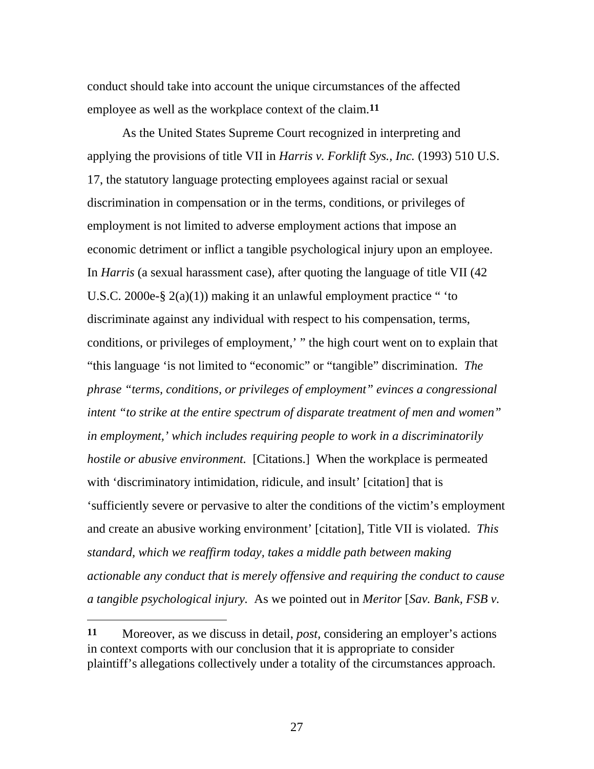conduct should take into account the unique circumstances of the affected employee as well as the workplace context of the claim.**11**

As the United States Supreme Court recognized in interpreting and applying the provisions of title VII in *Harris v. Forklift Sys., Inc.* (1993) 510 U.S. 17, the statutory language protecting employees against racial or sexual discrimination in compensation or in the terms, conditions, or privileges of employment is not limited to adverse employment actions that impose an economic detriment or inflict a tangible psychological injury upon an employee. In *Harris* (a sexual harassment case), after quoting the language of title VII (42 U.S.C. 2000e-§  $2(a)(1)$  making it an unlawful employment practice " 'to discriminate against any individual with respect to his compensation, terms, conditions, or privileges of employment,' " the high court went on to explain that "this language 'is not limited to "economic" or "tangible" discrimination. *The phrase "terms, conditions, or privileges of employment" evinces a congressional intent "to strike at the entire spectrum of disparate treatment of men and women" in employment,' which includes requiring people to work in a discriminatorily hostile or abusive environment.* [Citations.] When the workplace is permeated with 'discriminatory intimidation, ridicule, and insult' [citation] that is 'sufficiently severe or pervasive to alter the conditions of the victim's employment and create an abusive working environment' [citation], Title VII is violated. *This standard, which we reaffirm today, takes a middle path between making actionable any conduct that is merely offensive and requiring the conduct to cause a tangible psychological injury.* As we pointed out in *Meritor* [*Sav. Bank, FSB v.* 

**<sup>11</sup>** Moreover, as we discuss in detail, *post,* considering an employer's actions in context comports with our conclusion that it is appropriate to consider plaintiff's allegations collectively under a totality of the circumstances approach.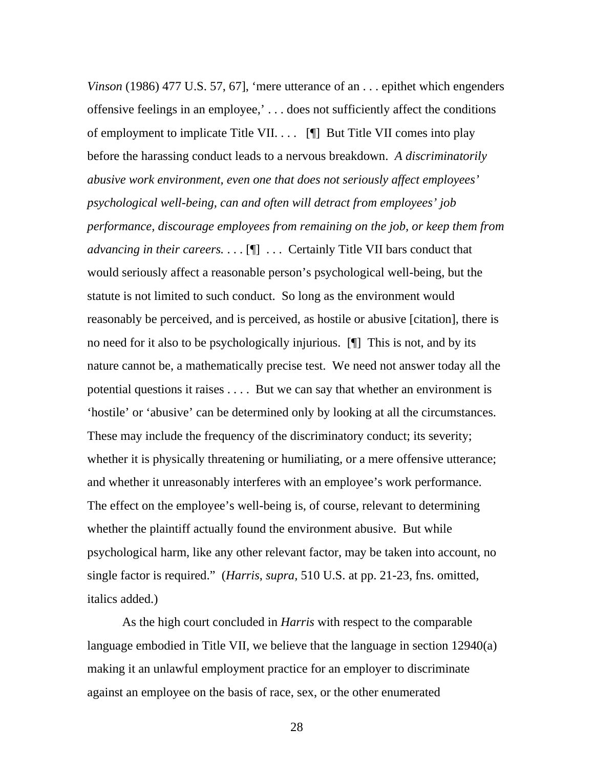*Vinson* (1986) 477 U.S. 57, 67], 'mere utterance of an ... epithet which engenders offensive feelings in an employee,' . . . does not sufficiently affect the conditions of employment to implicate Title VII. . . . [¶] But Title VII comes into play before the harassing conduct leads to a nervous breakdown. *A discriminatorily abusive work environment, even one that does not seriously affect employees' psychological well-being, can and often will detract from employees' job performance, discourage employees from remaining on the job, or keep them from advancing in their careers.* . . . [¶] . . . Certainly Title VII bars conduct that would seriously affect a reasonable person's psychological well-being, but the statute is not limited to such conduct. So long as the environment would reasonably be perceived, and is perceived, as hostile or abusive [citation], there is no need for it also to be psychologically injurious. [¶] This is not, and by its nature cannot be, a mathematically precise test. We need not answer today all the potential questions it raises . . . . But we can say that whether an environment is 'hostile' or 'abusive' can be determined only by looking at all the circumstances. These may include the frequency of the discriminatory conduct; its severity; whether it is physically threatening or humiliating, or a mere offensive utterance; and whether it unreasonably interferes with an employee's work performance. The effect on the employee's well-being is, of course, relevant to determining whether the plaintiff actually found the environment abusive. But while psychological harm, like any other relevant factor, may be taken into account, no single factor is required." (*Harris*, *supra*, 510 U.S. at pp. 21-23, fns. omitted, italics added.)

As the high court concluded in *Harris* with respect to the comparable language embodied in Title VII, we believe that the language in section 12940(a) making it an unlawful employment practice for an employer to discriminate against an employee on the basis of race, sex, or the other enumerated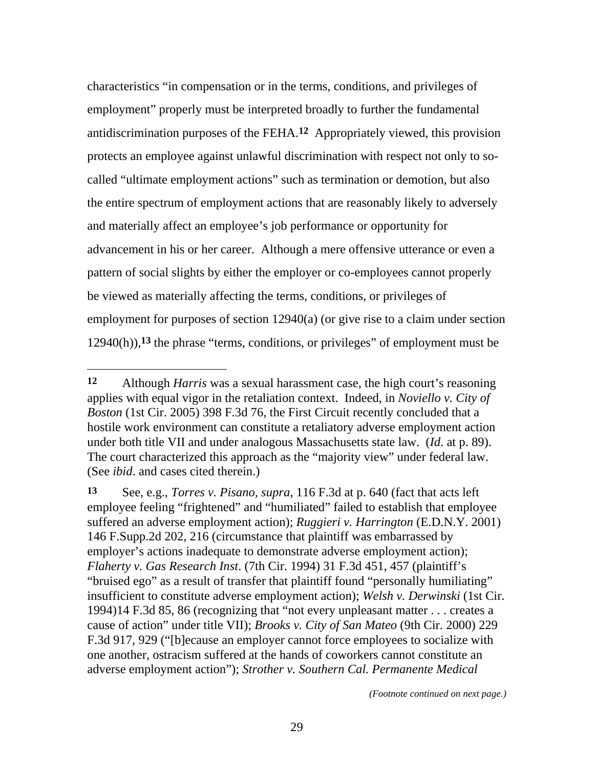characteristics "in compensation or in the terms, conditions, and privileges of employment" properly must be interpreted broadly to further the fundamental antidiscrimination purposes of the FEHA.**12** Appropriately viewed, this provision protects an employee against unlawful discrimination with respect not only to socalled "ultimate employment actions" such as termination or demotion, but also the entire spectrum of employment actions that are reasonably likely to adversely and materially affect an employee's job performance or opportunity for advancement in his or her career. Although a mere offensive utterance or even a pattern of social slights by either the employer or co-employees cannot properly be viewed as materially affecting the terms, conditions, or privileges of employment for purposes of section 12940(a) (or give rise to a claim under section 12940(h)),**13** the phrase "terms, conditions, or privileges" of employment must be

**<sup>12</sup>** Although *Harris* was a sexual harassment case, the high court's reasoning applies with equal vigor in the retaliation context. Indeed, in *Noviello v. City of Boston* (1st Cir. 2005) 398 F.3d 76, the First Circuit recently concluded that a hostile work environment can constitute a retaliatory adverse employment action under both title VII and under analogous Massachusetts state law. (*Id*. at p. 89). The court characterized this approach as the "majority view" under federal law. (See *ibid*. and cases cited therein.)

**<sup>13</sup>** See, e.g., *Torres v. Pisano, supra,* 116 F.3d at p. 640 (fact that acts left employee feeling "frightened" and "humiliated" failed to establish that employee suffered an adverse employment action); *Ruggieri v. Harrington* (E.D.N.Y. 2001) 146 F.Supp.2d 202, 216 (circumstance that plaintiff was embarrassed by employer's actions inadequate to demonstrate adverse employment action); *Flaherty v. Gas Research Inst*. (7th Cir. 1994) 31 F.3d 451, 457 (plaintiff's "bruised ego" as a result of transfer that plaintiff found "personally humiliating" insufficient to constitute adverse employment action); *Welsh v. Derwinski* (1st Cir. 1994)14 F.3d 85, 86 (recognizing that "not every unpleasant matter . . . creates a cause of action" under title VII); *Brooks v. City of San Mateo* (9th Cir. 2000) 229 F.3d 917, 929 ("[b]ecause an employer cannot force employees to socialize with one another, ostracism suffered at the hands of coworkers cannot constitute an adverse employment action"); *Strother v. Southern Cal. Permanente Medical* 

*<sup>(</sup>Footnote continued on next page.)*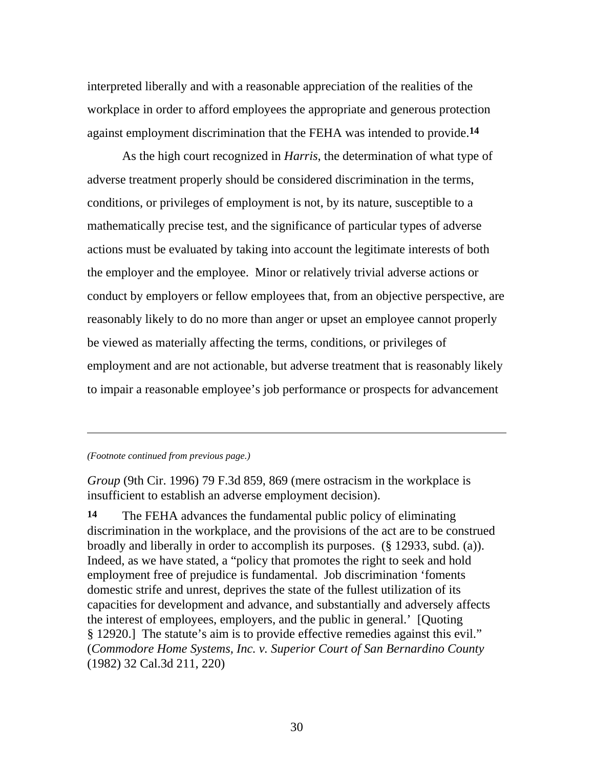interpreted liberally and with a reasonable appreciation of the realities of the workplace in order to afford employees the appropriate and generous protection against employment discrimination that the FEHA was intended to provide.**14**

As the high court recognized in *Harris*, the determination of what type of adverse treatment properly should be considered discrimination in the terms, conditions, or privileges of employment is not, by its nature, susceptible to a mathematically precise test, and the significance of particular types of adverse actions must be evaluated by taking into account the legitimate interests of both the employer and the employee. Minor or relatively trivial adverse actions or conduct by employers or fellow employees that, from an objective perspective, are reasonably likely to do no more than anger or upset an employee cannot properly be viewed as materially affecting the terms, conditions, or privileges of employment and are not actionable, but adverse treatment that is reasonably likely to impair a reasonable employee's job performance or prospects for advancement

#### *(Footnote continued from previous page.)*

 $\overline{a}$ 

*Group* (9th Cir. 1996) 79 F.3d 859, 869 (mere ostracism in the workplace is insufficient to establish an adverse employment decision).

**14** The FEHA advances the fundamental public policy of eliminating discrimination in the workplace, and the provisions of the act are to be construed broadly and liberally in order to accomplish its purposes. (§ 12933, subd. (a)). Indeed, as we have stated, a "policy that promotes the right to seek and hold employment free of prejudice is fundamental. Job discrimination 'foments domestic strife and unrest, deprives the state of the fullest utilization of its capacities for development and advance, and substantially and adversely affects the interest of employees, employers, and the public in general.' [Quoting § 12920.] The statute's aim is to provide effective remedies against this evil." (*Commodore Home Systems, Inc. v. Superior Court of San Bernardino County* (1982) 32 Cal.3d 211, 220)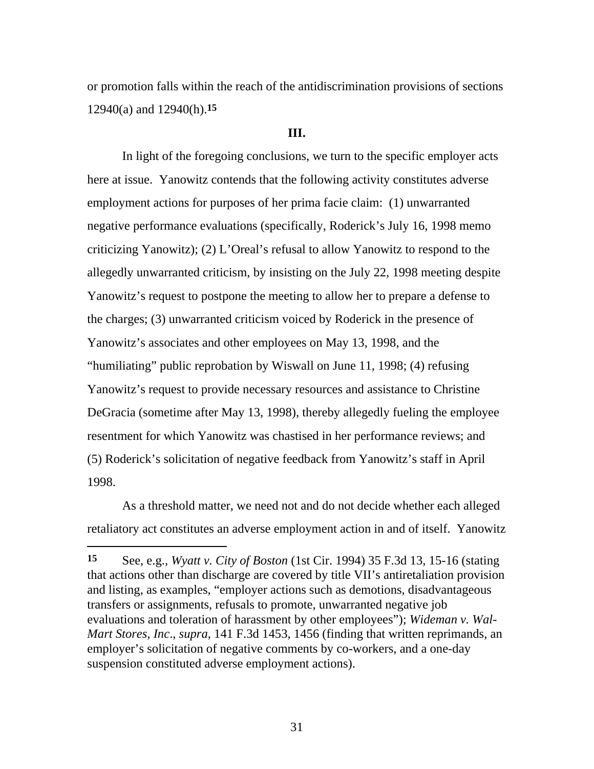or promotion falls within the reach of the antidiscrimination provisions of sections 12940(a) and 12940(h).**15**

## **III.**

In light of the foregoing conclusions, we turn to the specific employer acts here at issue. Yanowitz contends that the following activity constitutes adverse employment actions for purposes of her prima facie claim: (1) unwarranted negative performance evaluations (specifically, Roderick's July 16, 1998 memo criticizing Yanowitz); (2) L'Oreal's refusal to allow Yanowitz to respond to the allegedly unwarranted criticism, by insisting on the July 22, 1998 meeting despite Yanowitz's request to postpone the meeting to allow her to prepare a defense to the charges; (3) unwarranted criticism voiced by Roderick in the presence of Yanowitz's associates and other employees on May 13, 1998, and the "humiliating" public reprobation by Wiswall on June 11, 1998; (4) refusing Yanowitz's request to provide necessary resources and assistance to Christine DeGracia (sometime after May 13, 1998), thereby allegedly fueling the employee resentment for which Yanowitz was chastised in her performance reviews; and (5) Roderick's solicitation of negative feedback from Yanowitz's staff in April 1998.

As a threshold matter, we need not and do not decide whether each alleged retaliatory act constitutes an adverse employment action in and of itself. Yanowitz

**<sup>15</sup>** See, e.g., *Wyatt v. City of Boston* (1st Cir. 1994) 35 F.3d 13, 15-16 (stating that actions other than discharge are covered by title VII's antiretaliation provision and listing, as examples, "employer actions such as demotions, disadvantageous transfers or assignments, refusals to promote, unwarranted negative job evaluations and toleration of harassment by other employees"); *Wideman v. Wal-Mart Stores, Inc*., *supra*, 141 F.3d 1453, 1456 (finding that written reprimands, an employer's solicitation of negative comments by co-workers, and a one-day suspension constituted adverse employment actions).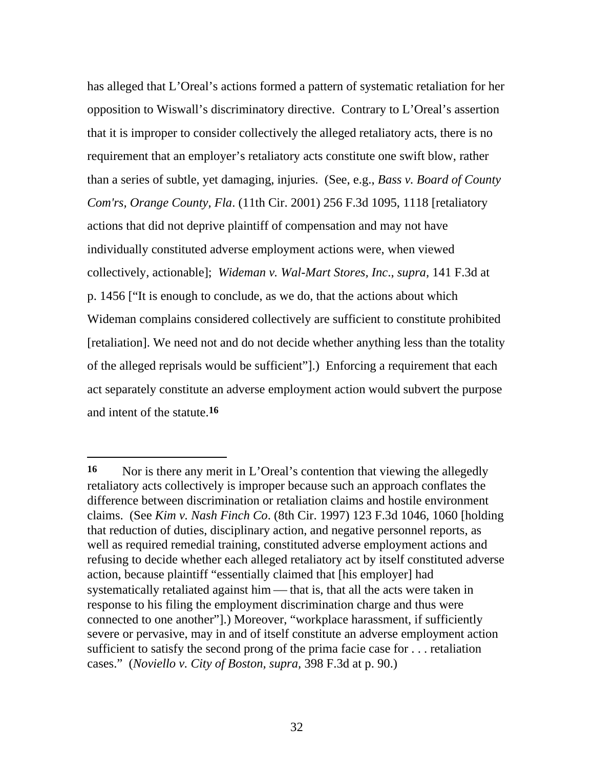has alleged that L'Oreal's actions formed a pattern of systematic retaliation for her opposition to Wiswall's discriminatory directive. Contrary to L'Oreal's assertion that it is improper to consider collectively the alleged retaliatory acts, there is no requirement that an employer's retaliatory acts constitute one swift blow, rather than a series of subtle, yet damaging, injuries. (See, e.g., *Bass v. Board of County Com'rs, Orange County, Fla*. (11th Cir. 2001) 256 F.3d 1095, 1118 [retaliatory actions that did not deprive plaintiff of compensation and may not have individually constituted adverse employment actions were, when viewed collectively, actionable]; *Wideman v. Wal-Mart Stores, Inc*., *supra,* 141 F.3d at p. 1456 ["It is enough to conclude, as we do, that the actions about which Wideman complains considered collectively are sufficient to constitute prohibited [retaliation]. We need not and do not decide whether anything less than the totality of the alleged reprisals would be sufficient"].) Enforcing a requirement that each act separately constitute an adverse employment action would subvert the purpose and intent of the statute.**16**

**<sup>16</sup>** Nor is there any merit in L'Oreal's contention that viewing the allegedly retaliatory acts collectively is improper because such an approach conflates the difference between discrimination or retaliation claims and hostile environment claims. (See *Kim v. Nash Finch Co*. (8th Cir. 1997) 123 F.3d 1046, 1060 [holding that reduction of duties, disciplinary action, and negative personnel reports, as well as required remedial training, constituted adverse employment actions and refusing to decide whether each alleged retaliatory act by itself constituted adverse action, because plaintiff "essentially claimed that [his employer] had systematically retaliated against him — that is, that all the acts were taken in response to his filing the employment discrimination charge and thus were connected to one another"].) Moreover, "workplace harassment, if sufficiently severe or pervasive, may in and of itself constitute an adverse employment action sufficient to satisfy the second prong of the prima facie case for . . . retaliation cases." (*Noviello v. City of Boston, supra,* 398 F.3d at p. 90.)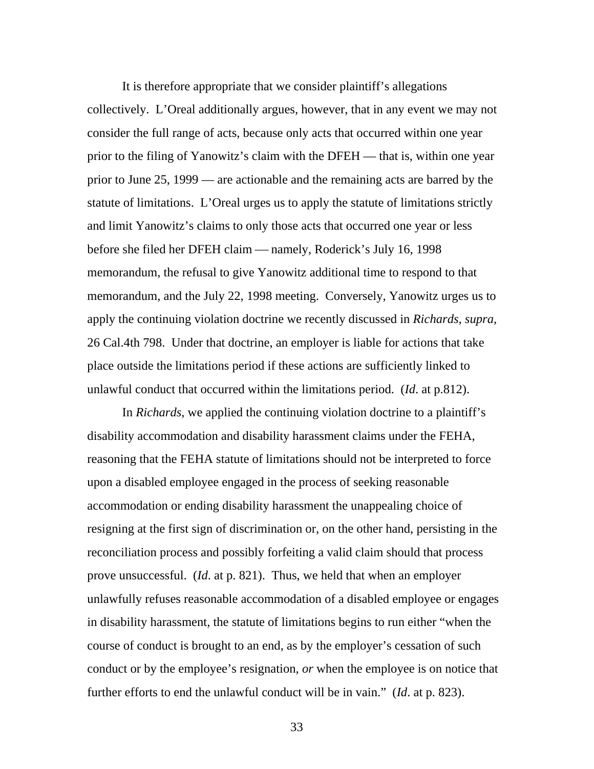It is therefore appropriate that we consider plaintiff's allegations collectively. L'Oreal additionally argues, however, that in any event we may not consider the full range of acts, because only acts that occurred within one year prior to the filing of Yanowitz's claim with the DFEH — that is, within one year prior to June 25, 1999 — are actionable and the remaining acts are barred by the statute of limitations. L'Oreal urges us to apply the statute of limitations strictly and limit Yanowitz's claims to only those acts that occurred one year or less before she filed her DFEH claim — namely, Roderick's July 16, 1998 memorandum, the refusal to give Yanowitz additional time to respond to that memorandum, and the July 22, 1998 meeting. Conversely, Yanowitz urges us to apply the continuing violation doctrine we recently discussed in *Richards*, *supra*, 26 Cal.4th 798. Under that doctrine, an employer is liable for actions that take place outside the limitations period if these actions are sufficiently linked to unlawful conduct that occurred within the limitations period. (*Id*. at p.812).

In *Richards*, we applied the continuing violation doctrine to a plaintiff's disability accommodation and disability harassment claims under the FEHA, reasoning that the FEHA statute of limitations should not be interpreted to force upon a disabled employee engaged in the process of seeking reasonable accommodation or ending disability harassment the unappealing choice of resigning at the first sign of discrimination or, on the other hand, persisting in the reconciliation process and possibly forfeiting a valid claim should that process prove unsuccessful. (*Id*. at p. 821). Thus, we held that when an employer unlawfully refuses reasonable accommodation of a disabled employee or engages in disability harassment, the statute of limitations begins to run either "when the course of conduct is brought to an end, as by the employer's cessation of such conduct or by the employee's resignation, *or* when the employee is on notice that further efforts to end the unlawful conduct will be in vain." (*Id*. at p. 823).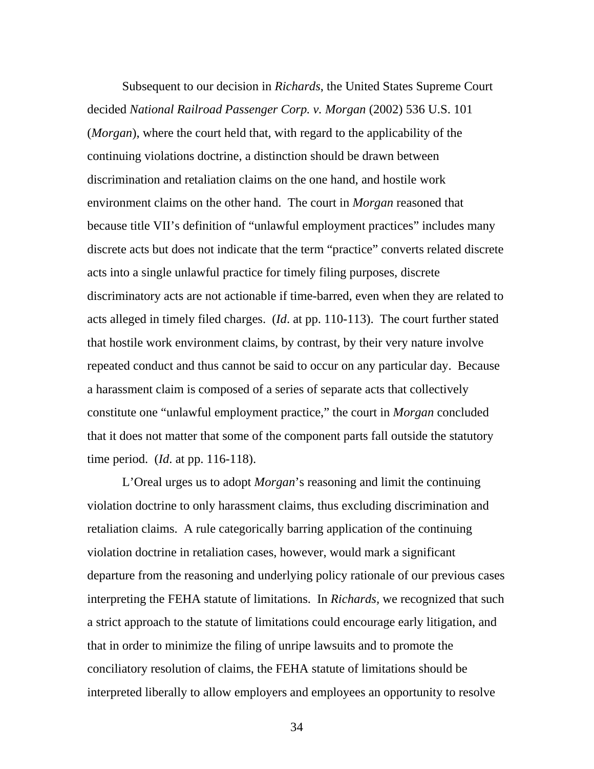Subsequent to our decision in *Richards*, the United States Supreme Court decided *National Railroad Passenger Corp. v. Morgan* (2002) 536 U.S. 101 (*Morgan*), where the court held that, with regard to the applicability of the continuing violations doctrine, a distinction should be drawn between discrimination and retaliation claims on the one hand, and hostile work environment claims on the other hand. The court in *Morgan* reasoned that because title VII's definition of "unlawful employment practices" includes many discrete acts but does not indicate that the term "practice" converts related discrete acts into a single unlawful practice for timely filing purposes, discrete discriminatory acts are not actionable if time-barred, even when they are related to acts alleged in timely filed charges. (*Id*. at pp. 110-113). The court further stated that hostile work environment claims, by contrast, by their very nature involve repeated conduct and thus cannot be said to occur on any particular day. Because a harassment claim is composed of a series of separate acts that collectively constitute one "unlawful employment practice," the court in *Morgan* concluded that it does not matter that some of the component parts fall outside the statutory time period. (*Id*. at pp. 116-118).

L'Oreal urges us to adopt *Morgan*'s reasoning and limit the continuing violation doctrine to only harassment claims, thus excluding discrimination and retaliation claims. A rule categorically barring application of the continuing violation doctrine in retaliation cases, however, would mark a significant departure from the reasoning and underlying policy rationale of our previous cases interpreting the FEHA statute of limitations. In *Richards,* we recognized that such a strict approach to the statute of limitations could encourage early litigation, and that in order to minimize the filing of unripe lawsuits and to promote the conciliatory resolution of claims, the FEHA statute of limitations should be interpreted liberally to allow employers and employees an opportunity to resolve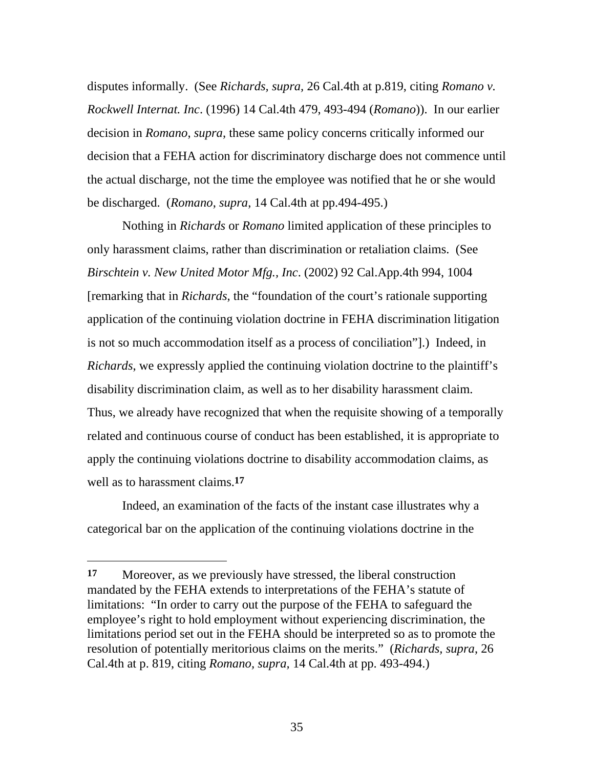disputes informally. (See *Richards, supra,* 26 Cal.4th at p.819, citing *Romano v. Rockwell Internat. Inc*. (1996) 14 Cal.4th 479, 493-494 (*Romano*)). In our earlier decision in *Romano*, *supra*, these same policy concerns critically informed our decision that a FEHA action for discriminatory discharge does not commence until the actual discharge, not the time the employee was notified that he or she would be discharged. (*Romano*, *supra*, 14 Cal.4th at pp.494-495.)

Nothing in *Richards* or *Romano* limited application of these principles to only harassment claims, rather than discrimination or retaliation claims. (See *Birschtein v. New United Motor Mfg., Inc*. (2002) 92 Cal.App.4th 994, 1004 [remarking that in *Richards*, the "foundation of the court's rationale supporting application of the continuing violation doctrine in FEHA discrimination litigation is not so much accommodation itself as a process of conciliation"].) Indeed, in *Richards*, we expressly applied the continuing violation doctrine to the plaintiff's disability discrimination claim, as well as to her disability harassment claim. Thus, we already have recognized that when the requisite showing of a temporally related and continuous course of conduct has been established, it is appropriate to apply the continuing violations doctrine to disability accommodation claims, as well as to harassment claims.**17**

Indeed, an examination of the facts of the instant case illustrates why a categorical bar on the application of the continuing violations doctrine in the

**<sup>17</sup>** Moreover, as we previously have stressed, the liberal construction mandated by the FEHA extends to interpretations of the FEHA's statute of limitations: "In order to carry out the purpose of the FEHA to safeguard the employee's right to hold employment without experiencing discrimination, the limitations period set out in the FEHA should be interpreted so as to promote the resolution of potentially meritorious claims on the merits." (*Richards, supra*, 26 Cal.4th at p. 819, citing *Romano, supra,* 14 Cal.4th at pp. 493-494.)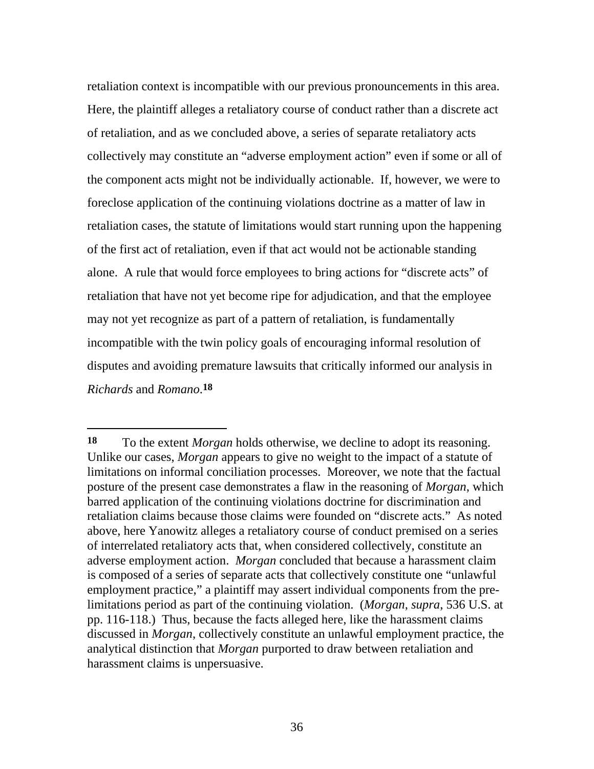retaliation context is incompatible with our previous pronouncements in this area. Here, the plaintiff alleges a retaliatory course of conduct rather than a discrete act of retaliation, and as we concluded above, a series of separate retaliatory acts collectively may constitute an "adverse employment action" even if some or all of the component acts might not be individually actionable. If, however, we were to foreclose application of the continuing violations doctrine as a matter of law in retaliation cases, the statute of limitations would start running upon the happening of the first act of retaliation, even if that act would not be actionable standing alone. A rule that would force employees to bring actions for "discrete acts" of retaliation that have not yet become ripe for adjudication, and that the employee may not yet recognize as part of a pattern of retaliation, is fundamentally incompatible with the twin policy goals of encouraging informal resolution of disputes and avoiding premature lawsuits that critically informed our analysis in *Richards* and *Romano*.**18**

**<sup>18</sup>** To the extent *Morgan* holds otherwise, we decline to adopt its reasoning. Unlike our cases, *Morgan* appears to give no weight to the impact of a statute of limitations on informal conciliation processes. Moreover, we note that the factual posture of the present case demonstrates a flaw in the reasoning of *Morgan*, which barred application of the continuing violations doctrine for discrimination and retaliation claims because those claims were founded on "discrete acts." As noted above, here Yanowitz alleges a retaliatory course of conduct premised on a series of interrelated retaliatory acts that, when considered collectively, constitute an adverse employment action. *Morgan* concluded that because a harassment claim is composed of a series of separate acts that collectively constitute one "unlawful employment practice," a plaintiff may assert individual components from the prelimitations period as part of the continuing violation. (*Morgan*, *supra*, 536 U.S. at pp. 116-118.) Thus, because the facts alleged here, like the harassment claims discussed in *Morgan*, collectively constitute an unlawful employment practice, the analytical distinction that *Morgan* purported to draw between retaliation and harassment claims is unpersuasive.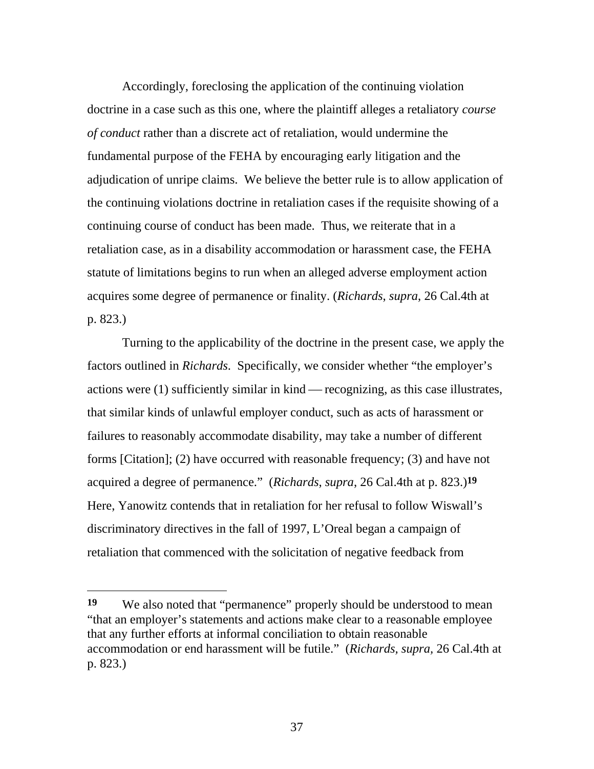Accordingly, foreclosing the application of the continuing violation doctrine in a case such as this one, where the plaintiff alleges a retaliatory *course of conduct* rather than a discrete act of retaliation, would undermine the fundamental purpose of the FEHA by encouraging early litigation and the adjudication of unripe claims. We believe the better rule is to allow application of the continuing violations doctrine in retaliation cases if the requisite showing of a continuing course of conduct has been made. Thus, we reiterate that in a retaliation case, as in a disability accommodation or harassment case, the FEHA statute of limitations begins to run when an alleged adverse employment action acquires some degree of permanence or finality. (*Richards*, *supra*, 26 Cal.4th at p. 823.)

Turning to the applicability of the doctrine in the present case, we apply the factors outlined in *Richards*. Specifically, we consider whether "the employer's actions were  $(1)$  sufficiently similar in kind — recognizing, as this case illustrates, that similar kinds of unlawful employer conduct, such as acts of harassment or failures to reasonably accommodate disability, may take a number of different forms [Citation]; (2) have occurred with reasonable frequency; (3) and have not acquired a degree of permanence." (*Richards*, *supra*, 26 Cal.4th at p. 823.)**19** Here, Yanowitz contends that in retaliation for her refusal to follow Wiswall's discriminatory directives in the fall of 1997, L'Oreal began a campaign of retaliation that commenced with the solicitation of negative feedback from

**<sup>19</sup>** We also noted that "permanence" properly should be understood to mean "that an employer's statements and actions make clear to a reasonable employee that any further efforts at informal conciliation to obtain reasonable accommodation or end harassment will be futile." (*Richards, supra,* 26 Cal.4th at p. 823.)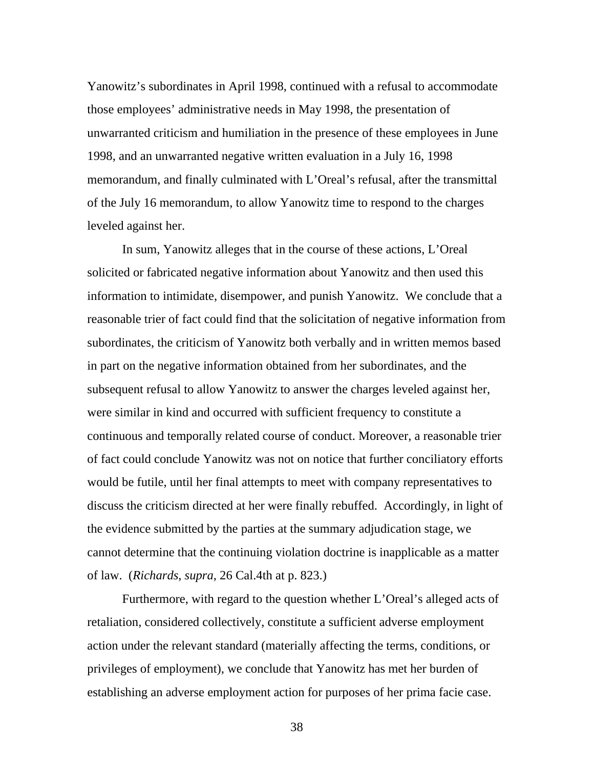Yanowitz's subordinates in April 1998, continued with a refusal to accommodate those employees' administrative needs in May 1998, the presentation of unwarranted criticism and humiliation in the presence of these employees in June 1998, and an unwarranted negative written evaluation in a July 16, 1998 memorandum, and finally culminated with L'Oreal's refusal, after the transmittal of the July 16 memorandum, to allow Yanowitz time to respond to the charges leveled against her.

In sum, Yanowitz alleges that in the course of these actions, L'Oreal solicited or fabricated negative information about Yanowitz and then used this information to intimidate, disempower, and punish Yanowitz. We conclude that a reasonable trier of fact could find that the solicitation of negative information from subordinates, the criticism of Yanowitz both verbally and in written memos based in part on the negative information obtained from her subordinates, and the subsequent refusal to allow Yanowitz to answer the charges leveled against her, were similar in kind and occurred with sufficient frequency to constitute a continuous and temporally related course of conduct. Moreover, a reasonable trier of fact could conclude Yanowitz was not on notice that further conciliatory efforts would be futile, until her final attempts to meet with company representatives to discuss the criticism directed at her were finally rebuffed. Accordingly, in light of the evidence submitted by the parties at the summary adjudication stage, we cannot determine that the continuing violation doctrine is inapplicable as a matter of law. (*Richards*, *supra*, 26 Cal.4th at p. 823.)

Furthermore, with regard to the question whether L'Oreal's alleged acts of retaliation, considered collectively, constitute a sufficient adverse employment action under the relevant standard (materially affecting the terms, conditions, or privileges of employment), we conclude that Yanowitz has met her burden of establishing an adverse employment action for purposes of her prima facie case.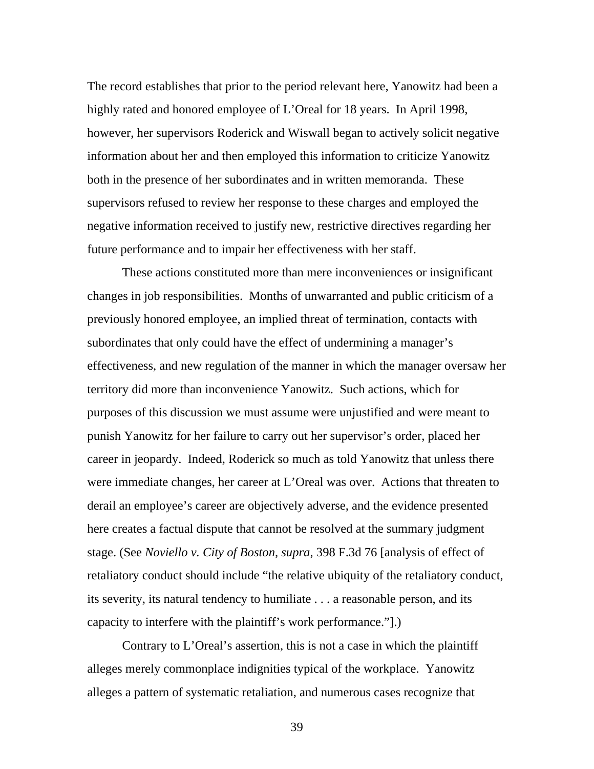The record establishes that prior to the period relevant here, Yanowitz had been a highly rated and honored employee of L'Oreal for 18 years. In April 1998, however, her supervisors Roderick and Wiswall began to actively solicit negative information about her and then employed this information to criticize Yanowitz both in the presence of her subordinates and in written memoranda. These supervisors refused to review her response to these charges and employed the negative information received to justify new, restrictive directives regarding her future performance and to impair her effectiveness with her staff.

These actions constituted more than mere inconveniences or insignificant changes in job responsibilities. Months of unwarranted and public criticism of a previously honored employee, an implied threat of termination, contacts with subordinates that only could have the effect of undermining a manager's effectiveness, and new regulation of the manner in which the manager oversaw her territory did more than inconvenience Yanowitz. Such actions, which for purposes of this discussion we must assume were unjustified and were meant to punish Yanowitz for her failure to carry out her supervisor's order, placed her career in jeopardy. Indeed, Roderick so much as told Yanowitz that unless there were immediate changes, her career at L'Oreal was over. Actions that threaten to derail an employee's career are objectively adverse, and the evidence presented here creates a factual dispute that cannot be resolved at the summary judgment stage. (See *Noviello v. City of Boston, supra*, 398 F.3d 76 [analysis of effect of retaliatory conduct should include "the relative ubiquity of the retaliatory conduct, its severity, its natural tendency to humiliate . . . a reasonable person, and its capacity to interfere with the plaintiff's work performance."].)

Contrary to L'Oreal's assertion, this is not a case in which the plaintiff alleges merely commonplace indignities typical of the workplace. Yanowitz alleges a pattern of systematic retaliation, and numerous cases recognize that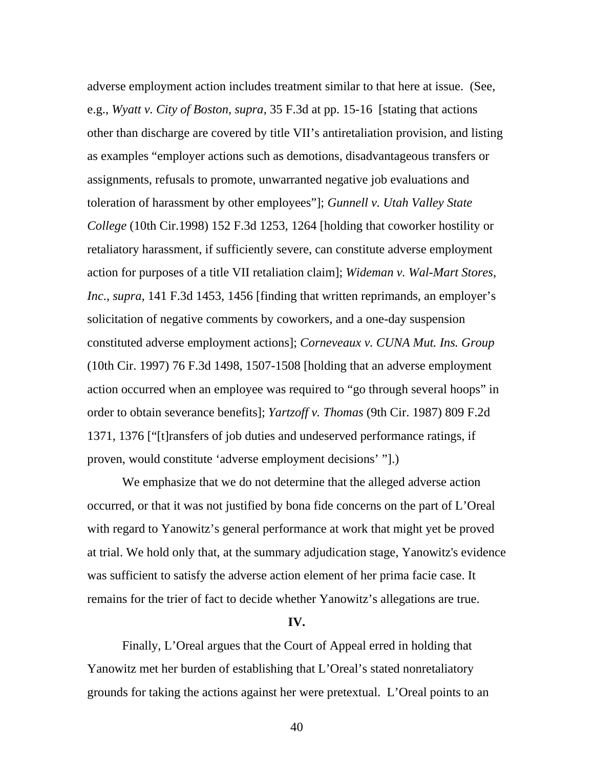adverse employment action includes treatment similar to that here at issue. (See, e.g., *Wyatt v. City of Boston, supra*, 35 F.3d at pp. 15-16 [stating that actions other than discharge are covered by title VII's antiretaliation provision, and listing as examples "employer actions such as demotions, disadvantageous transfers or assignments, refusals to promote, unwarranted negative job evaluations and toleration of harassment by other employees"]; *Gunnell v. Utah Valley State College* (10th Cir.1998) 152 F.3d 1253, 1264 [holding that coworker hostility or retaliatory harassment, if sufficiently severe, can constitute adverse employment action for purposes of a title VII retaliation claim]; *Wideman v. Wal-Mart Stores, Inc*., *supra,* 141 F.3d 1453, 1456 [finding that written reprimands, an employer's solicitation of negative comments by coworkers, and a one-day suspension constituted adverse employment actions]; *Corneveaux v. CUNA Mut. Ins. Group* (10th Cir. 1997) 76 F.3d 1498, 1507-1508 [holding that an adverse employment action occurred when an employee was required to "go through several hoops" in order to obtain severance benefits]; *Yartzoff v. Thomas* (9th Cir. 1987) 809 F.2d 1371, 1376 ["[t]ransfers of job duties and undeserved performance ratings, if proven, would constitute 'adverse employment decisions' "].)

We emphasize that we do not determine that the alleged adverse action occurred, or that it was not justified by bona fide concerns on the part of L'Oreal with regard to Yanowitz's general performance at work that might yet be proved at trial. We hold only that, at the summary adjudication stage, Yanowitz's evidence was sufficient to satisfy the adverse action element of her prima facie case. It remains for the trier of fact to decide whether Yanowitz's allegations are true.

### **IV.**

Finally, L'Oreal argues that the Court of Appeal erred in holding that Yanowitz met her burden of establishing that L'Oreal's stated nonretaliatory grounds for taking the actions against her were pretextual. L'Oreal points to an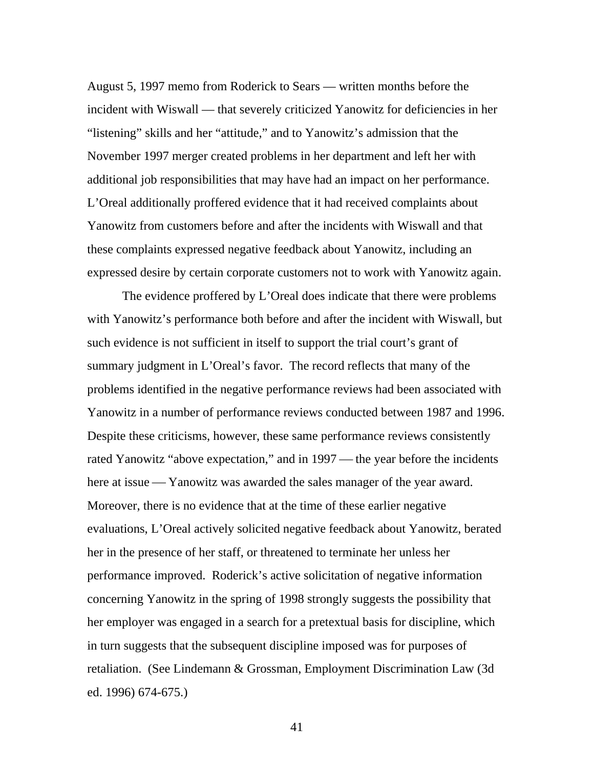August 5, 1997 memo from Roderick to Sears — written months before the incident with Wiswall — that severely criticized Yanowitz for deficiencies in her "listening" skills and her "attitude," and to Yanowitz's admission that the November 1997 merger created problems in her department and left her with additional job responsibilities that may have had an impact on her performance. L'Oreal additionally proffered evidence that it had received complaints about Yanowitz from customers before and after the incidents with Wiswall and that these complaints expressed negative feedback about Yanowitz, including an expressed desire by certain corporate customers not to work with Yanowitz again.

The evidence proffered by L'Oreal does indicate that there were problems with Yanowitz's performance both before and after the incident with Wiswall, but such evidence is not sufficient in itself to support the trial court's grant of summary judgment in L'Oreal's favor. The record reflects that many of the problems identified in the negative performance reviews had been associated with Yanowitz in a number of performance reviews conducted between 1987 and 1996. Despite these criticisms, however, these same performance reviews consistently rated Yanowitz "above expectation," and in 1997 — the year before the incidents here at issue — Yanowitz was awarded the sales manager of the year award. Moreover, there is no evidence that at the time of these earlier negative evaluations, L'Oreal actively solicited negative feedback about Yanowitz, berated her in the presence of her staff, or threatened to terminate her unless her performance improved. Roderick's active solicitation of negative information concerning Yanowitz in the spring of 1998 strongly suggests the possibility that her employer was engaged in a search for a pretextual basis for discipline, which in turn suggests that the subsequent discipline imposed was for purposes of retaliation. (See Lindemann & Grossman, Employment Discrimination Law (3d ed. 1996) 674-675.)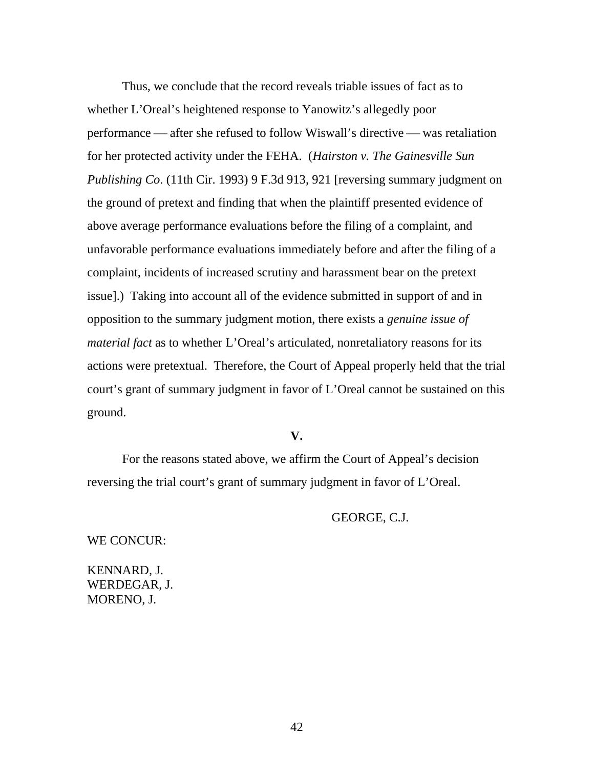Thus, we conclude that the record reveals triable issues of fact as to whether L'Oreal's heightened response to Yanowitz's allegedly poor performance — after she refused to follow Wiswall's directive — was retaliation for her protected activity under the FEHA. (*Hairston v. The Gainesville Sun Publishing Co*. (11th Cir. 1993) 9 F.3d 913, 921 [reversing summary judgment on the ground of pretext and finding that when the plaintiff presented evidence of above average performance evaluations before the filing of a complaint, and unfavorable performance evaluations immediately before and after the filing of a complaint, incidents of increased scrutiny and harassment bear on the pretext issue].) Taking into account all of the evidence submitted in support of and in opposition to the summary judgment motion, there exists a *genuine issue of material fact* as to whether L'Oreal's articulated, nonretaliatory reasons for its actions were pretextual. Therefore, the Court of Appeal properly held that the trial court's grant of summary judgment in favor of L'Oreal cannot be sustained on this ground.

## **V.**

For the reasons stated above, we affirm the Court of Appeal's decision reversing the trial court's grant of summary judgment in favor of L'Oreal.

GEORGE, C.J.

WE CONCUR:

KENNARD, J. WERDEGAR, J. MORENO, J.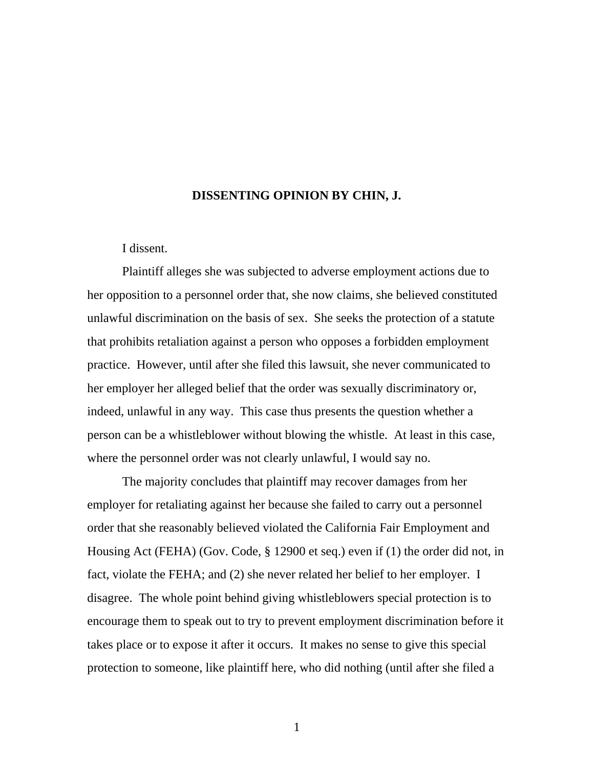#### **DISSENTING OPINION BY CHIN, J.**

## I dissent.

Plaintiff alleges she was subjected to adverse employment actions due to her opposition to a personnel order that, she now claims, she believed constituted unlawful discrimination on the basis of sex. She seeks the protection of a statute that prohibits retaliation against a person who opposes a forbidden employment practice. However, until after she filed this lawsuit, she never communicated to her employer her alleged belief that the order was sexually discriminatory or, indeed, unlawful in any way. This case thus presents the question whether a person can be a whistleblower without blowing the whistle. At least in this case, where the personnel order was not clearly unlawful, I would say no.

The majority concludes that plaintiff may recover damages from her employer for retaliating against her because she failed to carry out a personnel order that she reasonably believed violated the California Fair Employment and Housing Act (FEHA) (Gov. Code, § 12900 et seq.) even if (1) the order did not, in fact, violate the FEHA; and (2) she never related her belief to her employer. I disagree. The whole point behind giving whistleblowers special protection is to encourage them to speak out to try to prevent employment discrimination before it takes place or to expose it after it occurs. It makes no sense to give this special protection to someone, like plaintiff here, who did nothing (until after she filed a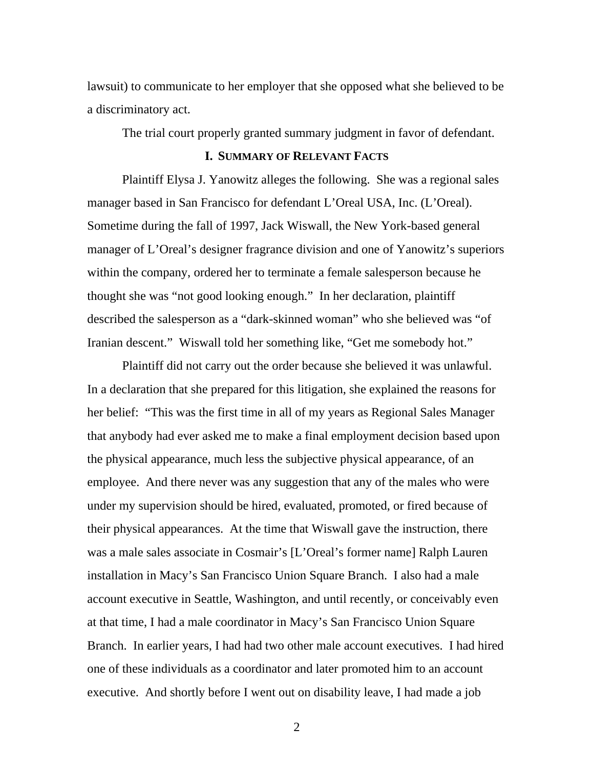lawsuit) to communicate to her employer that she opposed what she believed to be a discriminatory act.

The trial court properly granted summary judgment in favor of defendant.

## **I. SUMMARY OF RELEVANT FACTS**

Plaintiff Elysa J. Yanowitz alleges the following. She was a regional sales manager based in San Francisco for defendant L'Oreal USA, Inc. (L'Oreal). Sometime during the fall of 1997, Jack Wiswall, the New York-based general manager of L'Oreal's designer fragrance division and one of Yanowitz's superiors within the company, ordered her to terminate a female salesperson because he thought she was "not good looking enough." In her declaration, plaintiff described the salesperson as a "dark-skinned woman" who she believed was "of Iranian descent." Wiswall told her something like, "Get me somebody hot."

Plaintiff did not carry out the order because she believed it was unlawful. In a declaration that she prepared for this litigation, she explained the reasons for her belief: "This was the first time in all of my years as Regional Sales Manager that anybody had ever asked me to make a final employment decision based upon the physical appearance, much less the subjective physical appearance, of an employee. And there never was any suggestion that any of the males who were under my supervision should be hired, evaluated, promoted, or fired because of their physical appearances. At the time that Wiswall gave the instruction, there was a male sales associate in Cosmair's [L'Oreal's former name] Ralph Lauren installation in Macy's San Francisco Union Square Branch. I also had a male account executive in Seattle, Washington, and until recently, or conceivably even at that time, I had a male coordinator in Macy's San Francisco Union Square Branch. In earlier years, I had had two other male account executives. I had hired one of these individuals as a coordinator and later promoted him to an account executive. And shortly before I went out on disability leave, I had made a job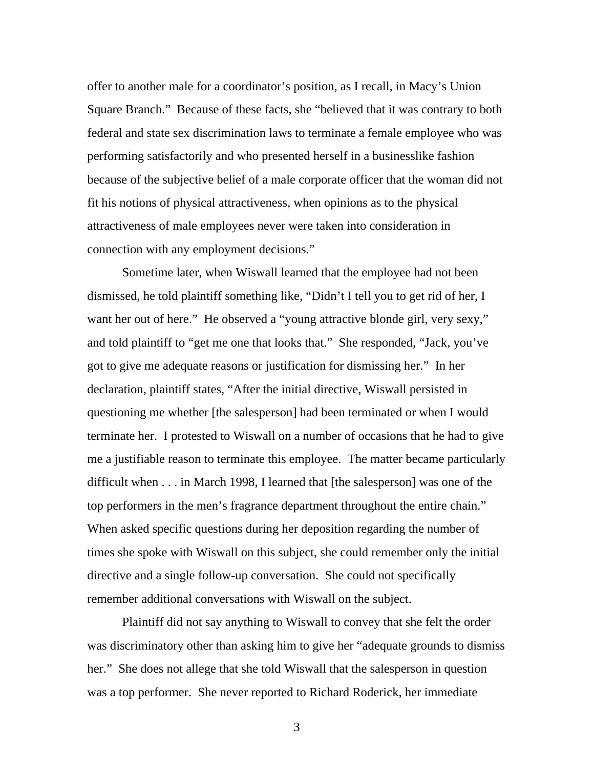offer to another male for a coordinator's position, as I recall, in Macy's Union Square Branch." Because of these facts, she "believed that it was contrary to both federal and state sex discrimination laws to terminate a female employee who was performing satisfactorily and who presented herself in a businesslike fashion because of the subjective belief of a male corporate officer that the woman did not fit his notions of physical attractiveness, when opinions as to the physical attractiveness of male employees never were taken into consideration in connection with any employment decisions."

Sometime later, when Wiswall learned that the employee had not been dismissed, he told plaintiff something like, "Didn't I tell you to get rid of her, I want her out of here." He observed a "young attractive blonde girl, very sexy," and told plaintiff to "get me one that looks that." She responded, "Jack, you've got to give me adequate reasons or justification for dismissing her." In her declaration, plaintiff states, "After the initial directive, Wiswall persisted in questioning me whether [the salesperson] had been terminated or when I would terminate her. I protested to Wiswall on a number of occasions that he had to give me a justifiable reason to terminate this employee. The matter became particularly difficult when . . . in March 1998, I learned that [the salesperson] was one of the top performers in the men's fragrance department throughout the entire chain." When asked specific questions during her deposition regarding the number of times she spoke with Wiswall on this subject, she could remember only the initial directive and a single follow-up conversation. She could not specifically remember additional conversations with Wiswall on the subject.

Plaintiff did not say anything to Wiswall to convey that she felt the order was discriminatory other than asking him to give her "adequate grounds to dismiss her." She does not allege that she told Wiswall that the salesperson in question was a top performer. She never reported to Richard Roderick, her immediate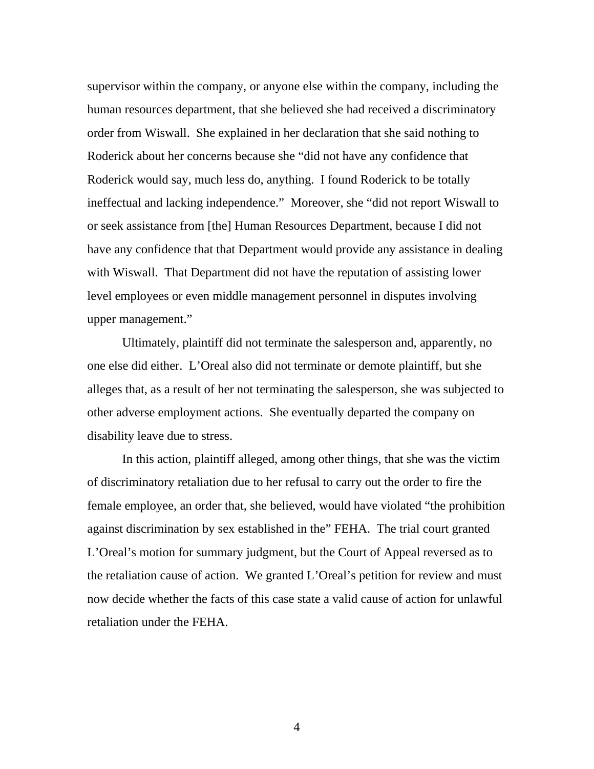supervisor within the company, or anyone else within the company, including the human resources department, that she believed she had received a discriminatory order from Wiswall. She explained in her declaration that she said nothing to Roderick about her concerns because she "did not have any confidence that Roderick would say, much less do, anything. I found Roderick to be totally ineffectual and lacking independence." Moreover, she "did not report Wiswall to or seek assistance from [the] Human Resources Department, because I did not have any confidence that that Department would provide any assistance in dealing with Wiswall. That Department did not have the reputation of assisting lower level employees or even middle management personnel in disputes involving upper management."

Ultimately, plaintiff did not terminate the salesperson and, apparently, no one else did either. L'Oreal also did not terminate or demote plaintiff, but she alleges that, as a result of her not terminating the salesperson, she was subjected to other adverse employment actions. She eventually departed the company on disability leave due to stress.

In this action, plaintiff alleged, among other things, that she was the victim of discriminatory retaliation due to her refusal to carry out the order to fire the female employee, an order that, she believed, would have violated "the prohibition against discrimination by sex established in the" FEHA. The trial court granted L'Oreal's motion for summary judgment, but the Court of Appeal reversed as to the retaliation cause of action. We granted L'Oreal's petition for review and must now decide whether the facts of this case state a valid cause of action for unlawful retaliation under the FEHA.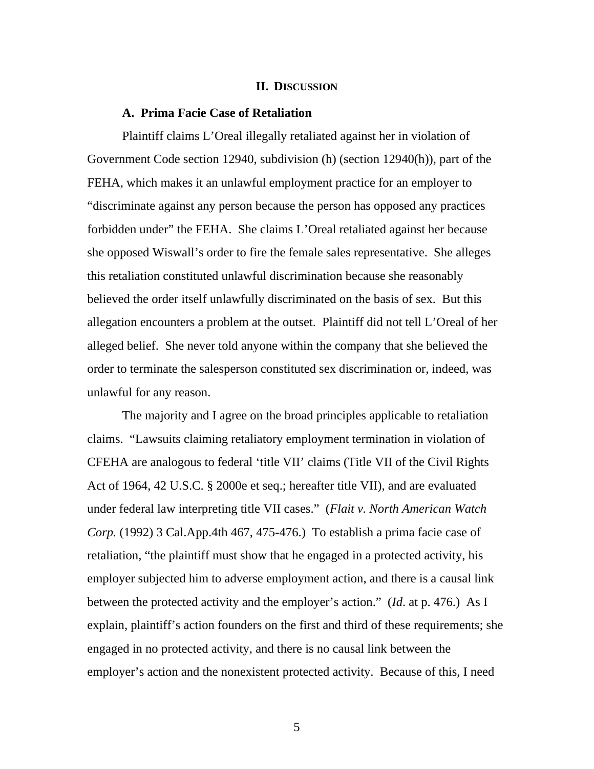## **II. DISCUSSION**

## **A. Prima Facie Case of Retaliation**

Plaintiff claims L'Oreal illegally retaliated against her in violation of Government Code section 12940, subdivision (h) (section 12940(h)), part of the FEHA, which makes it an unlawful employment practice for an employer to "discriminate against any person because the person has opposed any practices forbidden under" the FEHA. She claims L'Oreal retaliated against her because she opposed Wiswall's order to fire the female sales representative. She alleges this retaliation constituted unlawful discrimination because she reasonably believed the order itself unlawfully discriminated on the basis of sex. But this allegation encounters a problem at the outset. Plaintiff did not tell L'Oreal of her alleged belief. She never told anyone within the company that she believed the order to terminate the salesperson constituted sex discrimination or, indeed, was unlawful for any reason.

The majority and I agree on the broad principles applicable to retaliation claims. "Lawsuits claiming retaliatory employment termination in violation of CFEHA are analogous to federal 'title VII' claims (Title VII of the Civil Rights Act of 1964, 42 U.S.C. § 2000e et seq.; hereafter title VII), and are evaluated under federal law interpreting title VII cases." (*Flait v. North American Watch Corp.* (1992) 3 Cal.App.4th 467, 475-476.) To establish a prima facie case of retaliation, "the plaintiff must show that he engaged in a protected activity, his employer subjected him to adverse employment action, and there is a causal link between the protected activity and the employer's action." (*Id*. at p. 476.) As I explain, plaintiff's action founders on the first and third of these requirements; she engaged in no protected activity, and there is no causal link between the employer's action and the nonexistent protected activity. Because of this, I need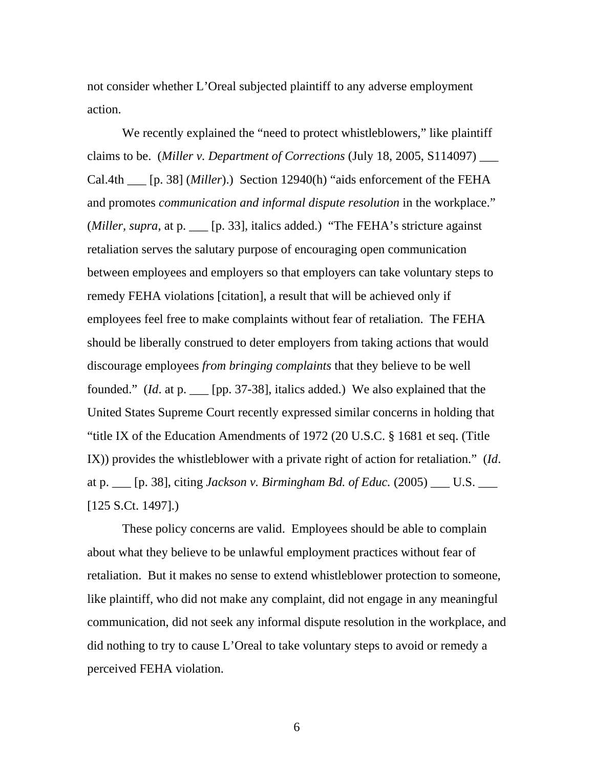not consider whether L'Oreal subjected plaintiff to any adverse employment action.

We recently explained the "need to protect whistleblowers," like plaintiff claims to be. (*Miller v. Department of Corrections* (July 18, 2005, S114097) \_\_\_ Cal.4th \_\_\_ [p. 38] (*Miller*).) Section 12940(h) "aids enforcement of the FEHA and promotes *communication and informal dispute resolution* in the workplace." (*Miller, supra*, at p. \_\_ [p. 33], italics added.) "The FEHA's stricture against retaliation serves the salutary purpose of encouraging open communication between employees and employers so that employers can take voluntary steps to remedy FEHA violations [citation], a result that will be achieved only if employees feel free to make complaints without fear of retaliation. The FEHA should be liberally construed to deter employers from taking actions that would discourage employees *from bringing complaints* that they believe to be well founded." (*Id*. at p. \_\_\_ [pp. 37-38], italics added.) We also explained that the United States Supreme Court recently expressed similar concerns in holding that "title IX of the Education Amendments of 1972 (20 U.S.C. § 1681 et seq. (Title IX)) provides the whistleblower with a private right of action for retaliation." (*Id*. at p. \_\_\_ [p. 38], citing *Jackson v. Birmingham Bd. of Educ.* (2005) \_\_\_ U.S. \_\_\_ [125 S.Ct. 1497].)

These policy concerns are valid. Employees should be able to complain about what they believe to be unlawful employment practices without fear of retaliation. But it makes no sense to extend whistleblower protection to someone, like plaintiff, who did not make any complaint, did not engage in any meaningful communication, did not seek any informal dispute resolution in the workplace, and did nothing to try to cause L'Oreal to take voluntary steps to avoid or remedy a perceived FEHA violation.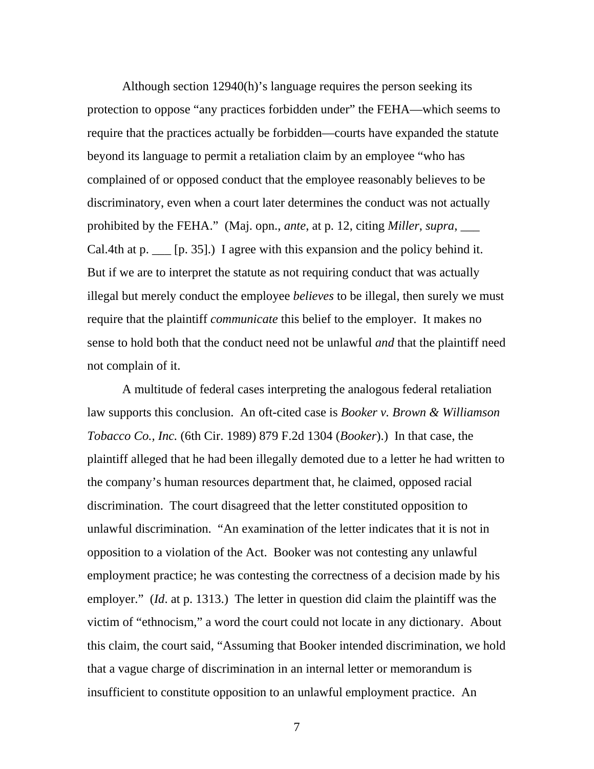Although section 12940(h)'s language requires the person seeking its protection to oppose "any practices forbidden under" the FEHA—which seems to require that the practices actually be forbidden—courts have expanded the statute beyond its language to permit a retaliation claim by an employee "who has complained of or opposed conduct that the employee reasonably believes to be discriminatory, even when a court later determines the conduct was not actually prohibited by the FEHA." (Maj. opn., *ante*, at p. 12, citing *Miller*, *supra*, \_\_\_ Cal.4th at p. \_\_\_ [p. 35].) I agree with this expansion and the policy behind it. But if we are to interpret the statute as not requiring conduct that was actually illegal but merely conduct the employee *believes* to be illegal, then surely we must require that the plaintiff *communicate* this belief to the employer. It makes no sense to hold both that the conduct need not be unlawful *and* that the plaintiff need not complain of it.

A multitude of federal cases interpreting the analogous federal retaliation law supports this conclusion. An oft-cited case is *Booker v. Brown & Williamson Tobacco Co., Inc.* (6th Cir. 1989) 879 F.2d 1304 (*Booker*).) In that case, the plaintiff alleged that he had been illegally demoted due to a letter he had written to the company's human resources department that, he claimed, opposed racial discrimination. The court disagreed that the letter constituted opposition to unlawful discrimination. "An examination of the letter indicates that it is not in opposition to a violation of the Act. Booker was not contesting any unlawful employment practice; he was contesting the correctness of a decision made by his employer." *(Id. at p. 1313.)* The letter in question did claim the plaintiff was the victim of "ethnocism," a word the court could not locate in any dictionary. About this claim, the court said, "Assuming that Booker intended discrimination, we hold that a vague charge of discrimination in an internal letter or memorandum is insufficient to constitute opposition to an unlawful employment practice. An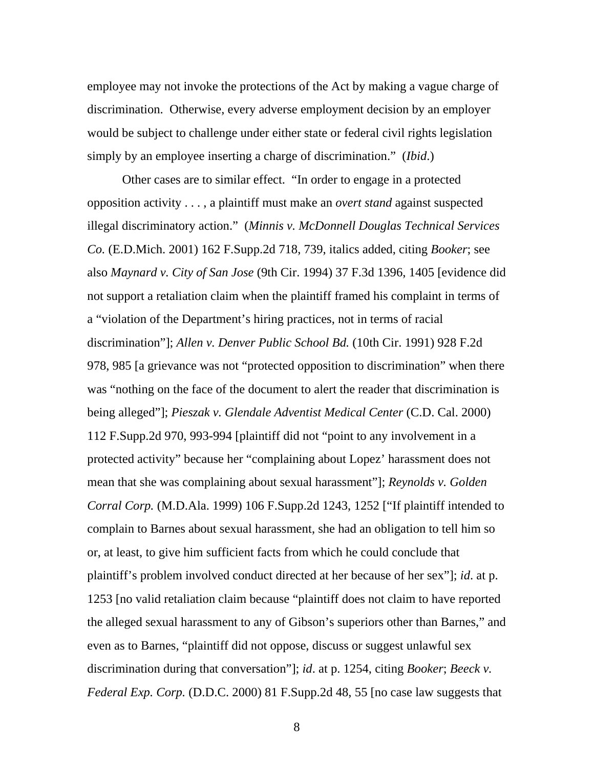employee may not invoke the protections of the Act by making a vague charge of discrimination. Otherwise, every adverse employment decision by an employer would be subject to challenge under either state or federal civil rights legislation simply by an employee inserting a charge of discrimination." (*Ibid*.)

Other cases are to similar effect. "In order to engage in a protected opposition activity . . . , a plaintiff must make an *overt stand* against suspected illegal discriminatory action." (*Minnis v. McDonnell Douglas Technical Services Co.* (E.D.Mich. 2001) 162 F.Supp.2d 718, 739, italics added, citing *Booker*; see also *Maynard v. City of San Jose* (9th Cir. 1994) 37 F.3d 1396, 1405 [evidence did not support a retaliation claim when the plaintiff framed his complaint in terms of a "violation of the Department's hiring practices, not in terms of racial discrimination"]; *Allen v. Denver Public School Bd.* (10th Cir. 1991) 928 F.2d 978, 985 [a grievance was not "protected opposition to discrimination" when there was "nothing on the face of the document to alert the reader that discrimination is being alleged"]; *Pieszak v. Glendale Adventist Medical Center* (C.D. Cal. 2000) 112 F.Supp.2d 970, 993-994 [plaintiff did not "point to any involvement in a protected activity" because her "complaining about Lopez' harassment does not mean that she was complaining about sexual harassment"]; *Reynolds v. Golden Corral Corp.* (M.D.Ala. 1999) 106 F.Supp.2d 1243, 1252 ["If plaintiff intended to complain to Barnes about sexual harassment, she had an obligation to tell him so or, at least, to give him sufficient facts from which he could conclude that plaintiff's problem involved conduct directed at her because of her sex"]; *id*. at p. 1253 [no valid retaliation claim because "plaintiff does not claim to have reported the alleged sexual harassment to any of Gibson's superiors other than Barnes," and even as to Barnes, "plaintiff did not oppose, discuss or suggest unlawful sex discrimination during that conversation"]; *id*. at p. 1254, citing *Booker*; *Beeck v. Federal Exp. Corp.* (D.D.C. 2000) 81 F.Supp.2d 48, 55 [no case law suggests that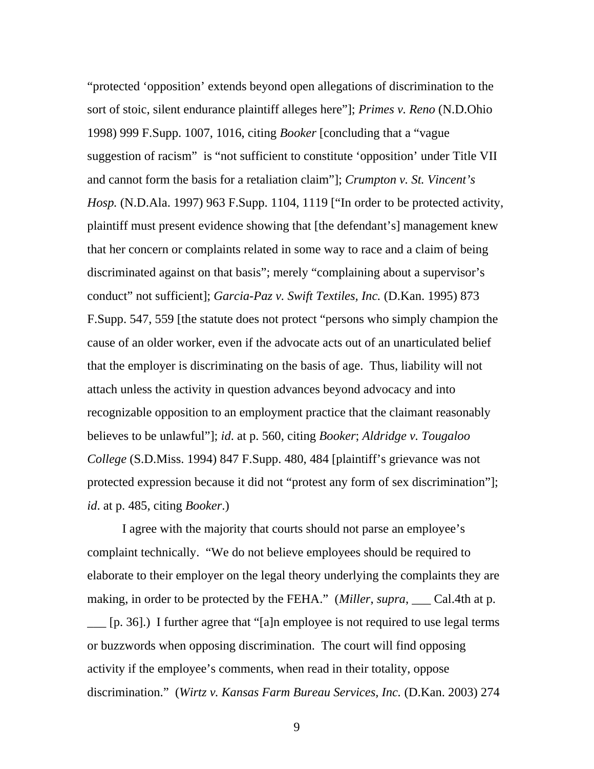"protected 'opposition' extends beyond open allegations of discrimination to the sort of stoic, silent endurance plaintiff alleges here"]; *Primes v. Reno* (N.D.Ohio 1998) 999 F.Supp. 1007, 1016, citing *Booker* [concluding that a "vague suggestion of racism" is "not sufficient to constitute 'opposition' under Title VII and cannot form the basis for a retaliation claim"]; *Crumpton v. St. Vincent's Hosp.* (N.D.Ala. 1997) 963 F.Supp. 1104, 1119 ["In order to be protected activity, plaintiff must present evidence showing that [the defendant's] management knew that her concern or complaints related in some way to race and a claim of being discriminated against on that basis"; merely "complaining about a supervisor's conduct" not sufficient]; *Garcia-Paz v. Swift Textiles, Inc.* (D.Kan. 1995) 873 F.Supp. 547, 559 [the statute does not protect "persons who simply champion the cause of an older worker, even if the advocate acts out of an unarticulated belief that the employer is discriminating on the basis of age. Thus, liability will not attach unless the activity in question advances beyond advocacy and into recognizable opposition to an employment practice that the claimant reasonably believes to be unlawful"]; *id*. at p. 560, citing *Booker*; *Aldridge v. Tougaloo College* (S.D.Miss. 1994) 847 F.Supp. 480, 484 [plaintiff's grievance was not protected expression because it did not "protest any form of sex discrimination"]; *id*. at p. 485, citing *Booker*.)

I agree with the majority that courts should not parse an employee's complaint technically. "We do not believe employees should be required to elaborate to their employer on the legal theory underlying the complaints they are making, in order to be protected by the FEHA." (*Miller*, *supra*, <u>cal.4th</u> at p. \_\_\_ [p. 36].) I further agree that "[a]n employee is not required to use legal terms or buzzwords when opposing discrimination. The court will find opposing activity if the employee's comments, when read in their totality, oppose discrimination." (*Wirtz v. Kansas Farm Bureau Services, Inc.* (D.Kan. 2003) 274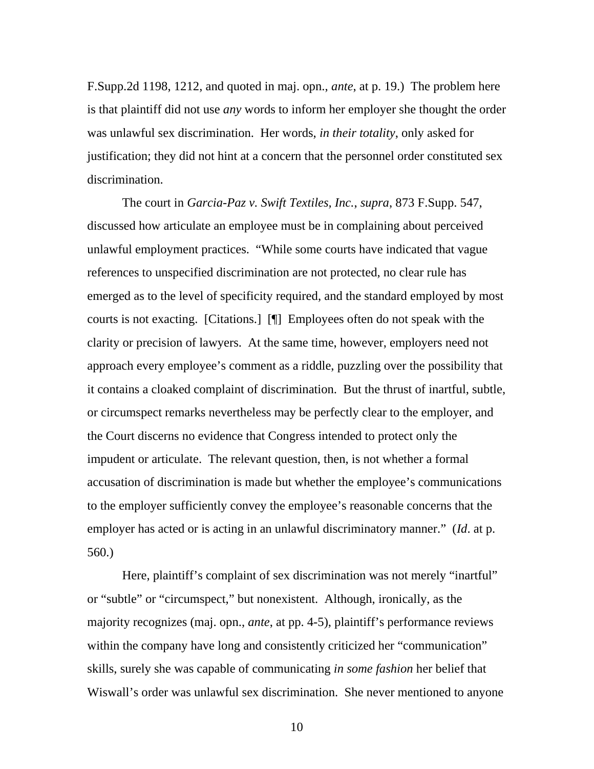F.Supp.2d 1198, 1212, and quoted in maj. opn., *ante*, at p. 19.) The problem here is that plaintiff did not use *any* words to inform her employer she thought the order was unlawful sex discrimination. Her words, *in their totality*, only asked for justification; they did not hint at a concern that the personnel order constituted sex discrimination.

The court in *Garcia-Paz v. Swift Textiles, Inc.*, *supra*, 873 F.Supp. 547, discussed how articulate an employee must be in complaining about perceived unlawful employment practices. "While some courts have indicated that vague references to unspecified discrimination are not protected, no clear rule has emerged as to the level of specificity required, and the standard employed by most courts is not exacting. [Citations.] [¶] Employees often do not speak with the clarity or precision of lawyers. At the same time, however, employers need not approach every employee's comment as a riddle, puzzling over the possibility that it contains a cloaked complaint of discrimination. But the thrust of inartful, subtle, or circumspect remarks nevertheless may be perfectly clear to the employer, and the Court discerns no evidence that Congress intended to protect only the impudent or articulate. The relevant question, then, is not whether a formal accusation of discrimination is made but whether the employee's communications to the employer sufficiently convey the employee's reasonable concerns that the employer has acted or is acting in an unlawful discriminatory manner." (*Id*. at p. 560.)

Here, plaintiff's complaint of sex discrimination was not merely "inartful" or "subtle" or "circumspect," but nonexistent. Although, ironically, as the majority recognizes (maj. opn., *ante*, at pp. 4-5), plaintiff's performance reviews within the company have long and consistently criticized her "communication" skills, surely she was capable of communicating *in some fashion* her belief that Wiswall's order was unlawful sex discrimination. She never mentioned to anyone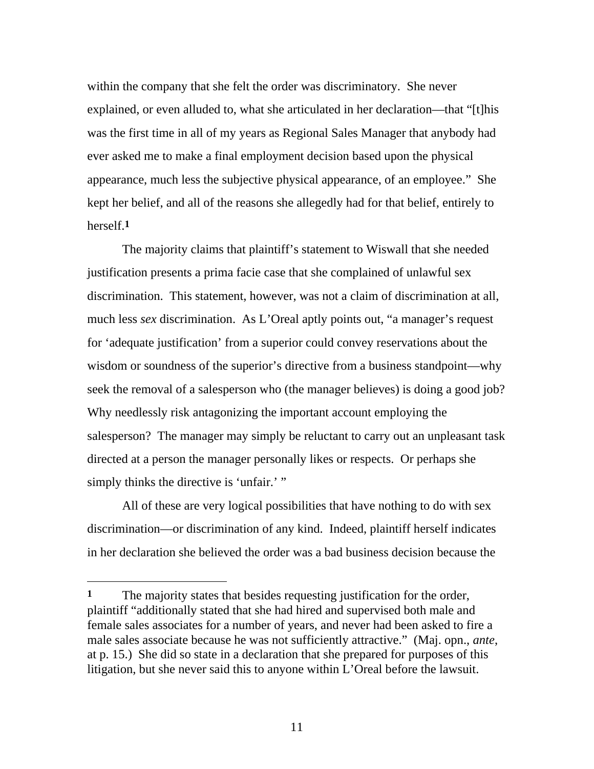within the company that she felt the order was discriminatory. She never explained, or even alluded to, what she articulated in her declaration—that "[t]his was the first time in all of my years as Regional Sales Manager that anybody had ever asked me to make a final employment decision based upon the physical appearance, much less the subjective physical appearance, of an employee." She kept her belief, and all of the reasons she allegedly had for that belief, entirely to herself.**1**

The majority claims that plaintiff's statement to Wiswall that she needed justification presents a prima facie case that she complained of unlawful sex discrimination. This statement, however, was not a claim of discrimination at all, much less *sex* discrimination. As L'Oreal aptly points out, "a manager's request for 'adequate justification' from a superior could convey reservations about the wisdom or soundness of the superior's directive from a business standpoint—why seek the removal of a salesperson who (the manager believes) is doing a good job? Why needlessly risk antagonizing the important account employing the salesperson? The manager may simply be reluctant to carry out an unpleasant task directed at a person the manager personally likes or respects. Or perhaps she simply thinks the directive is 'unfair.' "

All of these are very logical possibilities that have nothing to do with sex discrimination—or discrimination of any kind. Indeed, plaintiff herself indicates in her declaration she believed the order was a bad business decision because the

<sup>&</sup>lt;sup>1</sup> The majority states that besides requesting justification for the order, plaintiff "additionally stated that she had hired and supervised both male and female sales associates for a number of years, and never had been asked to fire a male sales associate because he was not sufficiently attractive." (Maj. opn., *ante*, at p. 15.) She did so state in a declaration that she prepared for purposes of this litigation, but she never said this to anyone within L'Oreal before the lawsuit.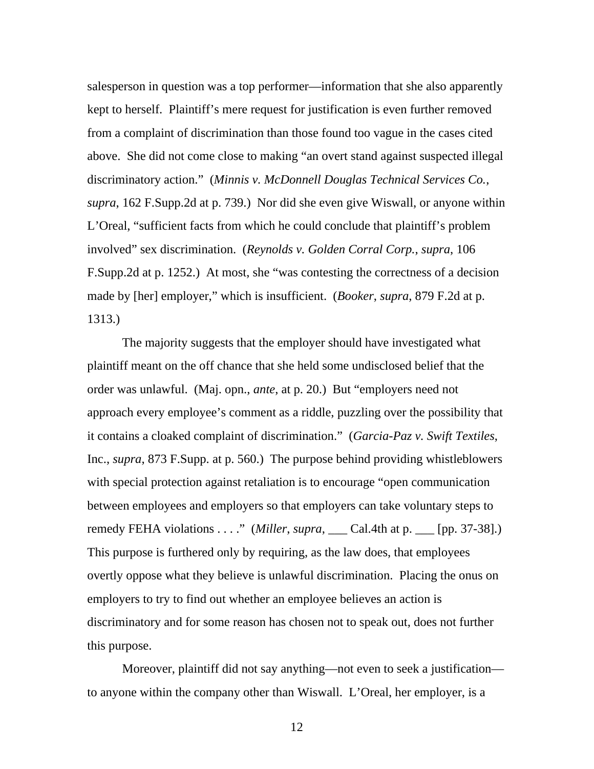salesperson in question was a top performer—information that she also apparently kept to herself. Plaintiff's mere request for justification is even further removed from a complaint of discrimination than those found too vague in the cases cited above. She did not come close to making "an overt stand against suspected illegal discriminatory action." (*Minnis v. McDonnell Douglas Technical Services Co.*, *supra*, 162 F.Supp.2d at p. 739.) Nor did she even give Wiswall, or anyone within L'Oreal, "sufficient facts from which he could conclude that plaintiff's problem involved" sex discrimination. (*Reynolds v. Golden Corral Corp.*, *supra*, 106 F.Supp.2d at p. 1252.) At most, she "was contesting the correctness of a decision made by [her] employer," which is insufficient. (*Booker*, *supra*, 879 F.2d at p. 1313.)

The majority suggests that the employer should have investigated what plaintiff meant on the off chance that she held some undisclosed belief that the order was unlawful. (Maj. opn., *ante*, at p. 20.) But "employers need not approach every employee's comment as a riddle, puzzling over the possibility that it contains a cloaked complaint of discrimination." (*Garcia-Paz v. Swift Textiles*, Inc., *supra*, 873 F.Supp. at p. 560.) The purpose behind providing whistleblowers with special protection against retaliation is to encourage "open communication between employees and employers so that employers can take voluntary steps to remedy FEHA violations . . . ." (*Miller*, *supra*, \_\_\_ Cal.4th at p. \_\_\_ [pp. 37-38].) This purpose is furthered only by requiring, as the law does, that employees overtly oppose what they believe is unlawful discrimination. Placing the onus on employers to try to find out whether an employee believes an action is discriminatory and for some reason has chosen not to speak out, does not further this purpose.

Moreover, plaintiff did not say anything—not even to seek a justification to anyone within the company other than Wiswall. L'Oreal, her employer, is a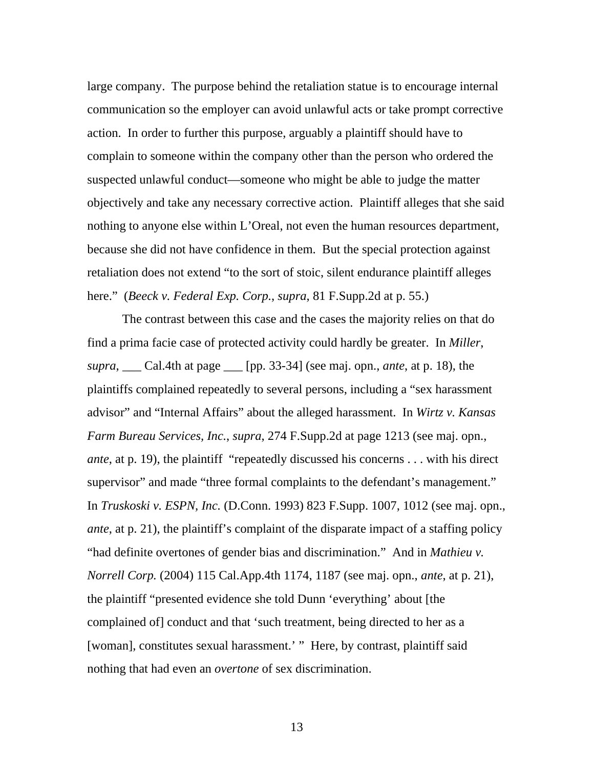large company. The purpose behind the retaliation statue is to encourage internal communication so the employer can avoid unlawful acts or take prompt corrective action. In order to further this purpose, arguably a plaintiff should have to complain to someone within the company other than the person who ordered the suspected unlawful conduct—someone who might be able to judge the matter objectively and take any necessary corrective action. Plaintiff alleges that she said nothing to anyone else within L'Oreal, not even the human resources department, because she did not have confidence in them. But the special protection against retaliation does not extend "to the sort of stoic, silent endurance plaintiff alleges here." (*Beeck v. Federal Exp. Corp.*, *supra*, 81 F.Supp.2d at p. 55.)

The contrast between this case and the cases the majority relies on that do find a prima facie case of protected activity could hardly be greater. In *Miller*, *supra*, \_\_\_ Cal.4th at page \_\_\_ [pp. 33-34] (see maj. opn., *ante*, at p. 18), the plaintiffs complained repeatedly to several persons, including a "sex harassment advisor" and "Internal Affairs" about the alleged harassment. In *Wirtz v. Kansas Farm Bureau Services, Inc.*, *supra*, 274 F.Supp.2d at page 1213 (see maj. opn., *ante*, at p. 19), the plaintiff "repeatedly discussed his concerns . . . with his direct supervisor" and made "three formal complaints to the defendant's management." In *Truskoski v. ESPN, Inc.* (D.Conn. 1993) 823 F.Supp. 1007, 1012 (see maj. opn., *ante*, at p. 21), the plaintiff's complaint of the disparate impact of a staffing policy "had definite overtones of gender bias and discrimination." And in *Mathieu v. Norrell Corp.* (2004) 115 Cal.App.4th 1174, 1187 (see maj. opn., *ante*, at p. 21), the plaintiff "presented evidence she told Dunn 'everything' about [the complained of] conduct and that 'such treatment, being directed to her as a [woman], constitutes sexual harassment.' " Here, by contrast, plaintiff said nothing that had even an *overtone* of sex discrimination.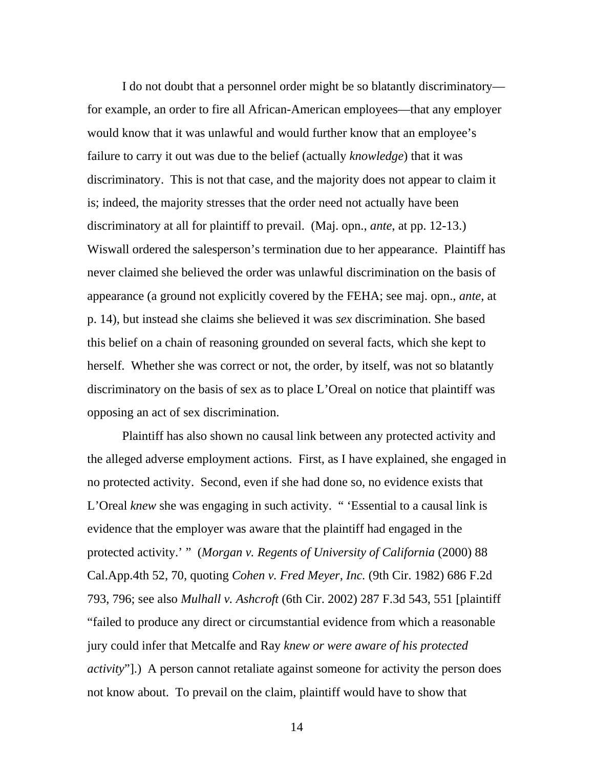I do not doubt that a personnel order might be so blatantly discriminatory for example, an order to fire all African-American employees—that any employer would know that it was unlawful and would further know that an employee's failure to carry it out was due to the belief (actually *knowledge*) that it was discriminatory. This is not that case, and the majority does not appear to claim it is; indeed, the majority stresses that the order need not actually have been discriminatory at all for plaintiff to prevail. (Maj. opn., *ante*, at pp. 12-13.) Wiswall ordered the salesperson's termination due to her appearance. Plaintiff has never claimed she believed the order was unlawful discrimination on the basis of appearance (a ground not explicitly covered by the FEHA; see maj. opn., *ante*, at p. 14), but instead she claims she believed it was *sex* discrimination. She based this belief on a chain of reasoning grounded on several facts, which she kept to herself. Whether she was correct or not, the order, by itself, was not so blatantly discriminatory on the basis of sex as to place L'Oreal on notice that plaintiff was opposing an act of sex discrimination.

Plaintiff has also shown no causal link between any protected activity and the alleged adverse employment actions. First, as I have explained, she engaged in no protected activity. Second, even if she had done so, no evidence exists that L'Oreal *knew* she was engaging in such activity. " 'Essential to a causal link is evidence that the employer was aware that the plaintiff had engaged in the protected activity.' " (*Morgan v. Regents of University of California* (2000) 88 Cal.App.4th 52, 70, quoting *Cohen v. Fred Meyer, Inc.* (9th Cir. 1982) 686 F.2d 793, 796; see also *Mulhall v. Ashcroft* (6th Cir. 2002) 287 F.3d 543, 551 [plaintiff "failed to produce any direct or circumstantial evidence from which a reasonable jury could infer that Metcalfe and Ray *knew or were aware of his protected activity*"].) A person cannot retaliate against someone for activity the person does not know about. To prevail on the claim, plaintiff would have to show that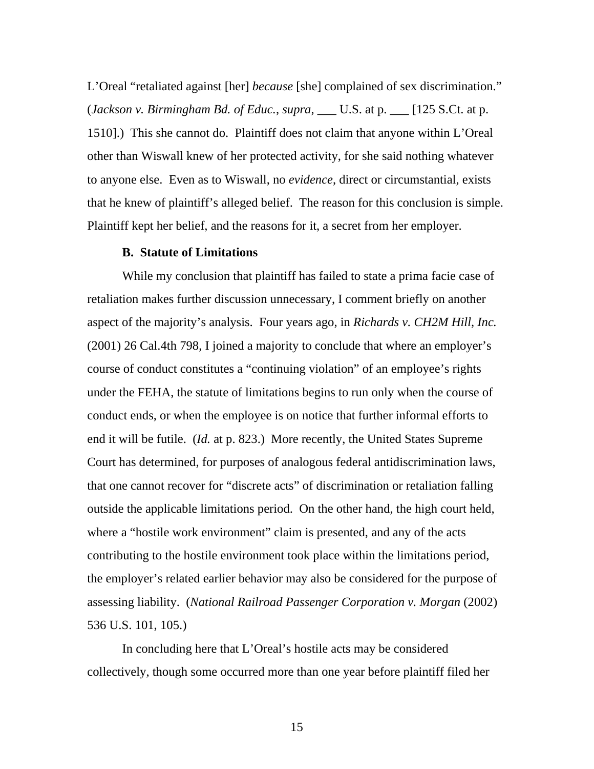L'Oreal "retaliated against [her] *because* [she] complained of sex discrimination." (*Jackson v. Birmingham Bd. of Educ.*, *supra*, \_\_\_ U.S. at p. \_\_\_ [125 S.Ct. at p. 1510].) This she cannot do. Plaintiff does not claim that anyone within L'Oreal other than Wiswall knew of her protected activity, for she said nothing whatever to anyone else. Even as to Wiswall, no *evidence*, direct or circumstantial, exists that he knew of plaintiff's alleged belief. The reason for this conclusion is simple. Plaintiff kept her belief, and the reasons for it, a secret from her employer.

## **B. Statute of Limitations**

While my conclusion that plaintiff has failed to state a prima facie case of retaliation makes further discussion unnecessary, I comment briefly on another aspect of the majority's analysis. Four years ago, in *Richards v. CH2M Hill, Inc.* (2001) 26 Cal.4th 798, I joined a majority to conclude that where an employer's course of conduct constitutes a "continuing violation" of an employee's rights under the FEHA, the statute of limitations begins to run only when the course of conduct ends, or when the employee is on notice that further informal efforts to end it will be futile. (*Id.* at p. 823.) More recently, the United States Supreme Court has determined, for purposes of analogous federal antidiscrimination laws, that one cannot recover for "discrete acts" of discrimination or retaliation falling outside the applicable limitations period. On the other hand, the high court held, where a "hostile work environment" claim is presented, and any of the acts contributing to the hostile environment took place within the limitations period, the employer's related earlier behavior may also be considered for the purpose of assessing liability. (*National Railroad Passenger Corporation v. Morgan* (2002) 536 U.S. 101, 105.)

In concluding here that L'Oreal's hostile acts may be considered collectively, though some occurred more than one year before plaintiff filed her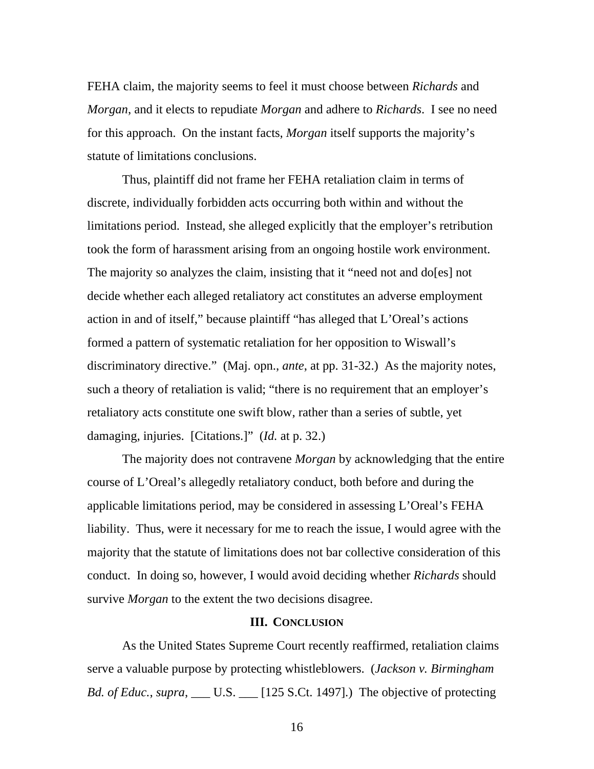FEHA claim, the majority seems to feel it must choose between *Richards* and *Morgan*, and it elects to repudiate *Morgan* and adhere to *Richards*. I see no need for this approach. On the instant facts, *Morgan* itself supports the majority's statute of limitations conclusions.

Thus, plaintiff did not frame her FEHA retaliation claim in terms of discrete, individually forbidden acts occurring both within and without the limitations period. Instead, she alleged explicitly that the employer's retribution took the form of harassment arising from an ongoing hostile work environment. The majority so analyzes the claim, insisting that it "need not and do[es] not decide whether each alleged retaliatory act constitutes an adverse employment action in and of itself," because plaintiff "has alleged that L'Oreal's actions formed a pattern of systematic retaliation for her opposition to Wiswall's discriminatory directive." (Maj. opn., *ante*, at pp. 31-32.) As the majority notes, such a theory of retaliation is valid; "there is no requirement that an employer's retaliatory acts constitute one swift blow, rather than a series of subtle, yet damaging, injuries. [Citations.]" (*Id.* at p. 32.)

The majority does not contravene *Morgan* by acknowledging that the entire course of L'Oreal's allegedly retaliatory conduct, both before and during the applicable limitations period, may be considered in assessing L'Oreal's FEHA liability. Thus, were it necessary for me to reach the issue, I would agree with the majority that the statute of limitations does not bar collective consideration of this conduct. In doing so, however, I would avoid deciding whether *Richards* should survive *Morgan* to the extent the two decisions disagree.

## **III. CONCLUSION**

As the United States Supreme Court recently reaffirmed, retaliation claims serve a valuable purpose by protecting whistleblowers. (*Jackson v. Birmingham Bd. of Educ.*, *supra*, \_\_\_ U.S. \_\_\_ [125 S.Ct. 1497].) The objective of protecting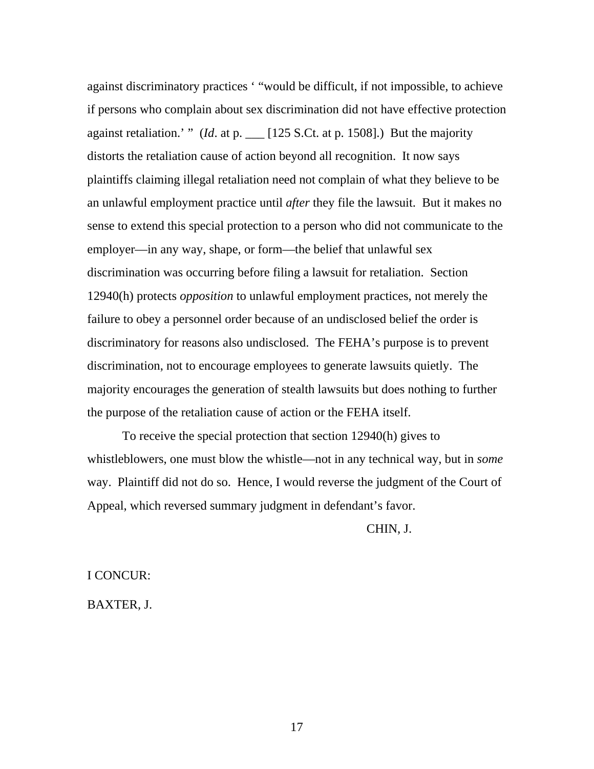against discriminatory practices ' "would be difficult, if not impossible, to achieve if persons who complain about sex discrimination did not have effective protection against retaliation.' " (*Id*. at p. \_\_\_ [125 S.Ct. at p. 1508].) But the majority distorts the retaliation cause of action beyond all recognition. It now says plaintiffs claiming illegal retaliation need not complain of what they believe to be an unlawful employment practice until *after* they file the lawsuit. But it makes no sense to extend this special protection to a person who did not communicate to the employer—in any way, shape, or form—the belief that unlawful sex discrimination was occurring before filing a lawsuit for retaliation. Section 12940(h) protects *opposition* to unlawful employment practices, not merely the failure to obey a personnel order because of an undisclosed belief the order is discriminatory for reasons also undisclosed. The FEHA's purpose is to prevent discrimination, not to encourage employees to generate lawsuits quietly. The majority encourages the generation of stealth lawsuits but does nothing to further the purpose of the retaliation cause of action or the FEHA itself.

To receive the special protection that section 12940(h) gives to whistleblowers, one must blow the whistle—not in any technical way, but in *some* way. Plaintiff did not do so. Hence, I would reverse the judgment of the Court of Appeal, which reversed summary judgment in defendant's favor.

CHIN, J.

I CONCUR:

BAXTER, J.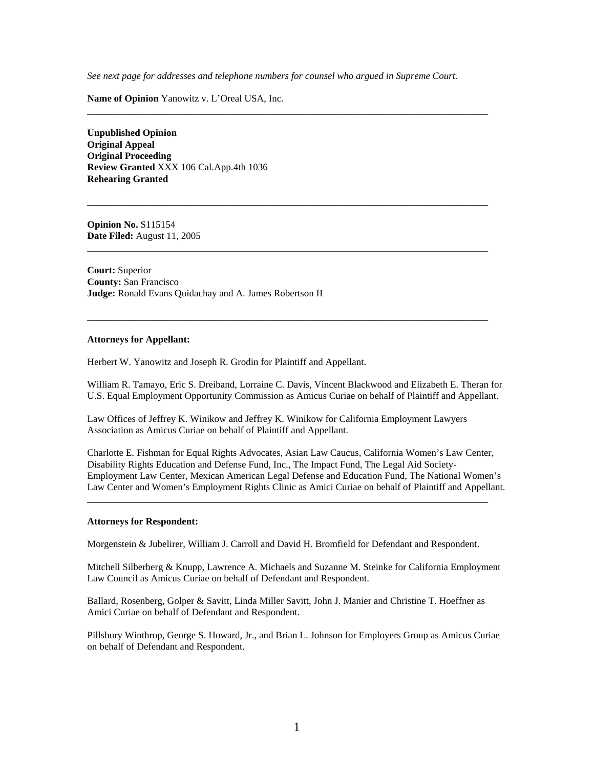*See next page for addresses and telephone numbers for counsel who argued in Supreme Court.* 

**\_\_\_\_\_\_\_\_\_\_\_\_\_\_\_\_\_\_\_\_\_\_\_\_\_\_\_\_\_\_\_\_\_\_\_\_\_\_\_\_\_\_\_\_\_\_\_\_\_\_\_\_\_\_\_\_\_\_\_\_\_\_\_\_\_\_\_\_\_\_\_\_\_\_\_\_\_\_\_\_\_\_** 

**\_\_\_\_\_\_\_\_\_\_\_\_\_\_\_\_\_\_\_\_\_\_\_\_\_\_\_\_\_\_\_\_\_\_\_\_\_\_\_\_\_\_\_\_\_\_\_\_\_\_\_\_\_\_\_\_\_\_\_\_\_\_\_\_\_\_\_\_\_\_\_\_\_\_\_\_\_\_\_\_\_\_** 

**\_\_\_\_\_\_\_\_\_\_\_\_\_\_\_\_\_\_\_\_\_\_\_\_\_\_\_\_\_\_\_\_\_\_\_\_\_\_\_\_\_\_\_\_\_\_\_\_\_\_\_\_\_\_\_\_\_\_\_\_\_\_\_\_\_\_\_\_\_\_\_\_\_\_\_\_\_\_\_\_\_\_** 

**\_\_\_\_\_\_\_\_\_\_\_\_\_\_\_\_\_\_\_\_\_\_\_\_\_\_\_\_\_\_\_\_\_\_\_\_\_\_\_\_\_\_\_\_\_\_\_\_\_\_\_\_\_\_\_\_\_\_\_\_\_\_\_\_\_\_\_\_\_\_\_\_\_\_\_\_\_\_\_\_\_\_** 

**Name of Opinion** Yanowitz v. L'Oreal USA, Inc.

**Unpublished Opinion Original Appeal Original Proceeding Review Granted** XXX 106 Cal.App.4th 1036 **Rehearing Granted** 

**Opinion No.** S115154 **Date Filed:** August 11, 2005

**Court:** Superior **County:** San Francisco **Judge:** Ronald Evans Quidachay and A. James Robertson II

#### **Attorneys for Appellant:**

Herbert W. Yanowitz and Joseph R. Grodin for Plaintiff and Appellant.

William R. Tamayo, Eric S. Dreiband, Lorraine C. Davis, Vincent Blackwood and Elizabeth E. Theran for U.S. Equal Employment Opportunity Commission as Amicus Curiae on behalf of Plaintiff and Appellant.

Law Offices of Jeffrey K. Winikow and Jeffrey K. Winikow for California Employment Lawyers Association as Amicus Curiae on behalf of Plaintiff and Appellant.

Charlotte E. Fishman for Equal Rights Advocates, Asian Law Caucus, California Women's Law Center, Disability Rights Education and Defense Fund, Inc., The Impact Fund, The Legal Aid Society-Employment Law Center, Mexican American Legal Defense and Education Fund, The National Women's Law Center and Women's Employment Rights Clinic as Amici Curiae on behalf of Plaintiff and Appellant.

**\_\_\_\_\_\_\_\_\_\_\_\_\_\_\_\_\_\_\_\_\_\_\_\_\_\_\_\_\_\_\_\_\_\_\_\_\_\_\_\_\_\_\_\_\_\_\_\_\_\_\_\_\_\_\_\_\_\_\_\_\_\_\_\_\_\_\_\_\_\_\_\_\_\_\_\_\_\_\_\_\_\_** 

#### **Attorneys for Respondent:**

Morgenstein & Jubelirer, William J. Carroll and David H. Bromfield for Defendant and Respondent.

Mitchell Silberberg & Knupp, Lawrence A. Michaels and Suzanne M. Steinke for California Employment Law Council as Amicus Curiae on behalf of Defendant and Respondent.

Ballard, Rosenberg, Golper & Savitt, Linda Miller Savitt, John J. Manier and Christine T. Hoeffner as Amici Curiae on behalf of Defendant and Respondent.

Pillsbury Winthrop, George S. Howard, Jr., and Brian L. Johnson for Employers Group as Amicus Curiae on behalf of Defendant and Respondent.